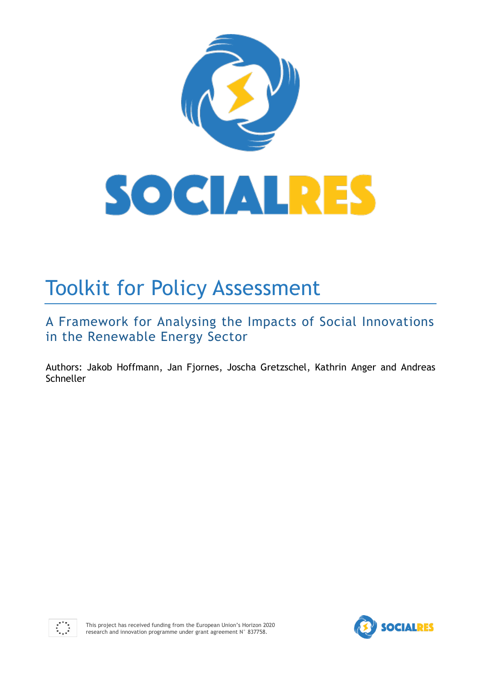

# Toolkit for Policy Assessment

A Framework for Analysing the Impacts of Social Innovations in the Renewable Energy Sector

Authors: Jakob Hoffmann, Jan Fjornes, Joscha Gretzschel, Kathrin Anger and Andreas **Schneller** 



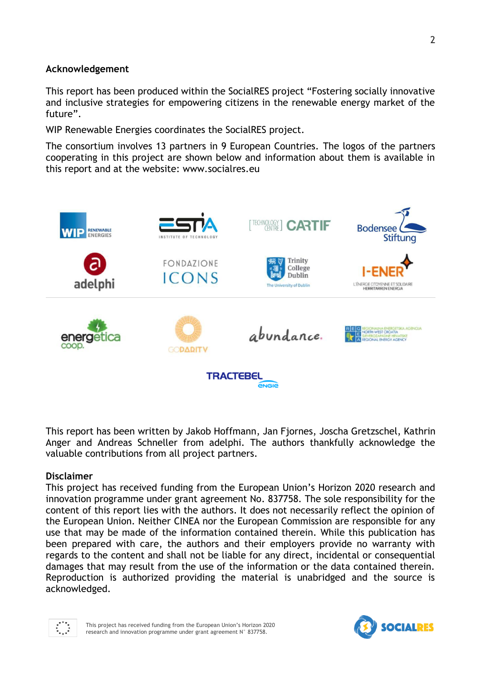### **Acknowledgement**

This report has been produced within the SocialRES project "Fostering socially innovative and inclusive strategies for empowering citizens in the renewable energy market of the future".

WIP Renewable Energies coordinates the SocialRES project.

The consortium involves 13 partners in 9 European Countries. The logos of the partners cooperating in this project are shown below and information about them is available in this report and at the website: www.socialres.eu



This report has been written by Jakob Hoffmann, Jan Fjornes, Joscha Gretzschel, Kathrin Anger and Andreas Schneller from adelphi. The authors thankfully acknowledge the valuable contributions from all project partners.

#### **Disclaimer**

This project has received funding from the European Union's Horizon 2020 research and innovation programme under grant agreement No. 837758. The sole responsibility for the content of this report lies with the authors. It does not necessarily reflect the opinion of the European Union. Neither CINEA nor the European Commission are responsible for any use that may be made of the information contained therein. While this publication has been prepared with care, the authors and their employers provide no warranty with regards to the content and shall not be liable for any direct, incidental or consequential damages that may result from the use of the information or the data contained therein. Reproduction is authorized providing the material is unabridged and the source is acknowledged.



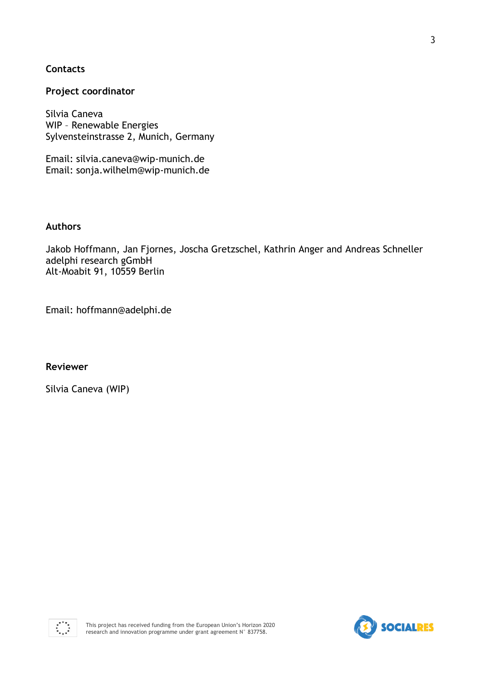### **Contacts**

#### **Project coordinator**

Silvia Caneva WIP – Renewable Energies Sylvensteinstrasse 2, Munich, Germany

Email: silvia.caneva@wip-munich.de Email: sonja.wilhelm@wip-munich.de

#### **Authors**

Jakob Hoffmann, Jan Fjornes, Joscha Gretzschel, Kathrin Anger and Andreas Schneller adelphi research gGmbH Alt-Moabit 91, 10559 Berlin

Email: hoffmann@adelphi.de

**Reviewer** 

Silvia Caneva (WIP)



3

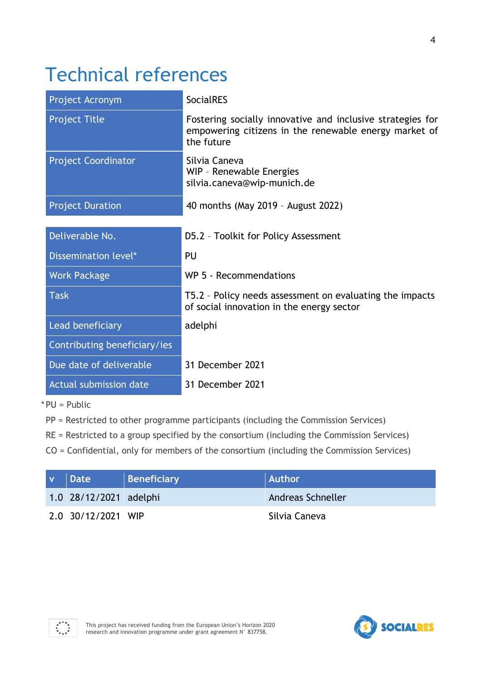# Technical references

| Project Acronym              | <b>SocialRES</b>                                                                                                                  |  |  |
|------------------------------|-----------------------------------------------------------------------------------------------------------------------------------|--|--|
| <b>Project Title</b>         | Fostering socially innovative and inclusive strategies for<br>empowering citizens in the renewable energy market of<br>the future |  |  |
| <b>Project Coordinator</b>   | Silvia Caneva<br>WIP - Renewable Energies<br>silvia.caneva@wip-munich.de                                                          |  |  |
| <b>Project Duration</b>      | 40 months (May 2019 - August 2022)                                                                                                |  |  |
|                              |                                                                                                                                   |  |  |
| Deliverable No.              | D5.2 - Toolkit for Policy Assessment                                                                                              |  |  |
| Dissemination level*         | PU                                                                                                                                |  |  |
| <b>Work Package</b>          | WP 5 - Recommendations                                                                                                            |  |  |
| <b>Task</b>                  | T5.2 - Policy needs assessment on evaluating the impacts<br>of social innovation in the energy sector                             |  |  |
| Lead beneficiary             | adelphi                                                                                                                           |  |  |
| Contributing beneficiary/ies |                                                                                                                                   |  |  |
| Due date of deliverable      | 31 December 2021                                                                                                                  |  |  |
| Actual submission date       | 31 December 2021                                                                                                                  |  |  |

\* PU = Public

PP = Restricted to other programme participants (including the Commission Services)

RE = Restricted to a group specified by the consortium (including the Commission Services)

CO = Confidential, only for members of the consortium (including the Commission Services)

| <b>Date</b>            | Beneficiary | <b>Author</b>     |
|------------------------|-------------|-------------------|
| 1.0 28/12/2021 adelphi |             | Andreas Schneller |
| 2.0 30/12/2021 WIP     |             | Silvia Caneva     |



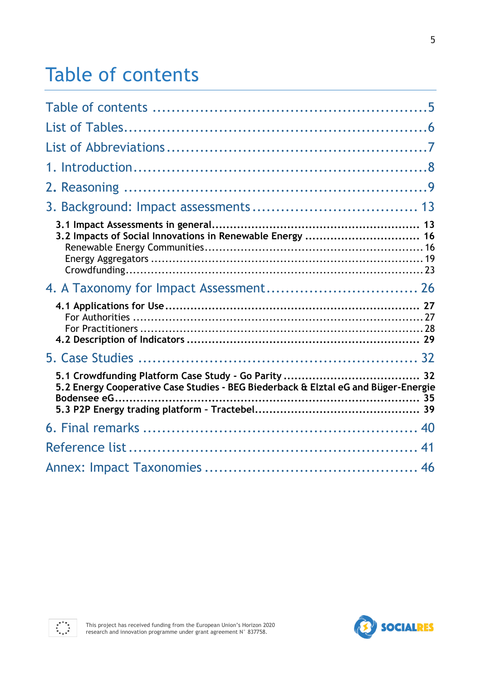# Table of contents

| 3.2 Impacts of Social Innovations in Renewable Energy  16                          |  |
|------------------------------------------------------------------------------------|--|
|                                                                                    |  |
|                                                                                    |  |
|                                                                                    |  |
| 5.2 Energy Cooperative Case Studies - BEG Biederback & Elztal eG and Büger-Energie |  |
|                                                                                    |  |
|                                                                                    |  |
|                                                                                    |  |
|                                                                                    |  |



 $x^{***}_{*,\star}$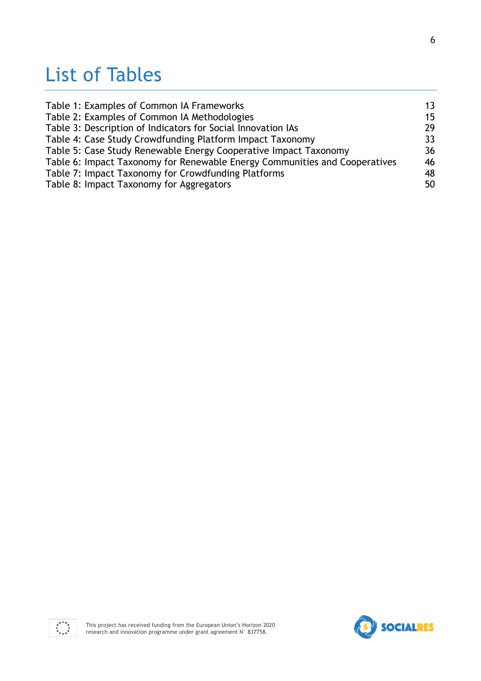# List of Tables

| Table 1: Examples of Common IA Frameworks                                  | 13 |
|----------------------------------------------------------------------------|----|
| Table 2: Examples of Common IA Methodologies                               | 15 |
| Table 3: Description of Indicators for Social Innovation IAs               | 29 |
| Table 4: Case Study Crowdfunding Platform Impact Taxonomy                  | 33 |
| Table 5: Case Study Renewable Energy Cooperative Impact Taxonomy           | 36 |
| Table 6: Impact Taxonomy for Renewable Energy Communities and Cooperatives | 46 |
| Table 7: Impact Taxonomy for Crowdfunding Platforms                        | 48 |
| Table 8: Impact Taxonomy for Aggregators                                   | 50 |



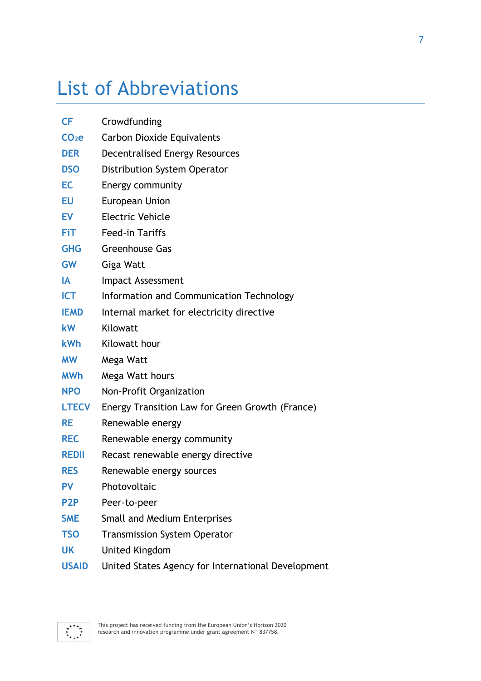# List of Abbreviations

| CF                | Crowdfunding                                       |
|-------------------|----------------------------------------------------|
| CO <sub>2</sub> e | <b>Carbon Dioxide Equivalents</b>                  |
| <b>DER</b>        | <b>Decentralised Energy Resources</b>              |
| <b>DSO</b>        | Distribution System Operator                       |
| EC                | Energy community                                   |
| EU                | <b>European Union</b>                              |
| <b>EV</b>         | <b>Electric Vehicle</b>                            |
| <b>FiT</b>        | <b>Feed-in Tariffs</b>                             |
| <b>GHG</b>        | <b>Greenhouse Gas</b>                              |
| <b>GW</b>         | Giga Watt                                          |
| IA                | Impact Assessment                                  |
| <b>ICT</b>        | Information and Communication Technology           |
| <b>IEMD</b>       | Internal market for electricity directive          |
| <b>kW</b>         | Kilowatt                                           |
| <b>kWh</b>        | Kilowatt hour                                      |
| <b>MW</b>         | Mega Watt                                          |
| <b>MWh</b>        | Mega Watt hours                                    |
| <b>NPO</b>        | Non-Profit Organization                            |
| <b>LTECV</b>      | Energy Transition Law for Green Growth (France)    |
| <b>RE</b>         | Renewable energy                                   |
| <b>REC</b>        | Renewable energy community                         |
| <b>REDII</b>      | Recast renewable energy directive                  |
| <b>RES</b>        | Renewable energy sources                           |
| <b>PV</b>         | Photovoltaic                                       |
| P <sub>2</sub> P  | Peer-to-peer                                       |
| <b>SME</b>        | <b>Small and Medium Enterprises</b>                |
| <b>TSO</b>        | <b>Transmission System Operator</b>                |
| <b>UK</b>         | <b>United Kingdom</b>                              |
| <b>USAID</b>      | United States Agency for International Development |

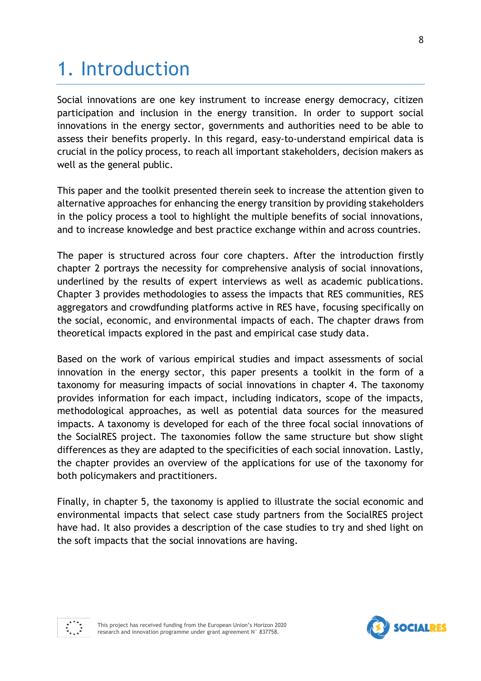# 1. Introduction

Social innovations are one key instrument to increase energy democracy, citizen participation and inclusion in the energy transition. In order to support social innovations in the energy sector, governments and authorities need to be able to assess their benefits properly. In this regard, easy-to-understand empirical data is crucial in the policy process, to reach all important stakeholders, decision makers as well as the general public.

This paper and the toolkit presented therein seek to increase the attention given to alternative approaches for enhancing the energy transition by providing stakeholders in the policy process a tool to highlight the multiple benefits of social innovations, and to increase knowledge and best practice exchange within and across countries.

The paper is structured across four core chapters. After the introduction firstly chapter 2 portrays the necessity for comprehensive analysis of social innovations, underlined by the results of expert interviews as well as academic publications. Chapter 3 provides methodologies to assess the impacts that RES communities, RES aggregators and crowdfunding platforms active in RES have, focusing specifically on the social, economic, and environmental impacts of each. The chapter draws from theoretical impacts explored in the past and empirical case study data.

Based on the work of various empirical studies and impact assessments of social innovation in the energy sector, this paper presents a toolkit in the form of a taxonomy for measuring impacts of social innovations in chapter 4. The taxonomy provides information for each impact, including indicators, scope of the impacts, methodological approaches, as well as potential data sources for the measured impacts. A taxonomy is developed for each of the three focal social innovations of the SocialRES project. The taxonomies follow the same structure but show slight differences as they are adapted to the specificities of each social innovation. Lastly, the chapter provides an overview of the applications for use of the taxonomy for both policymakers and practitioners.

Finally, in chapter 5, the taxonomy is applied to illustrate the social economic and environmental impacts that select case study partners from the SocialRES project have had. It also provides a description of the case studies to try and shed light on the soft impacts that the social innovations are having.





**SOCIALRES**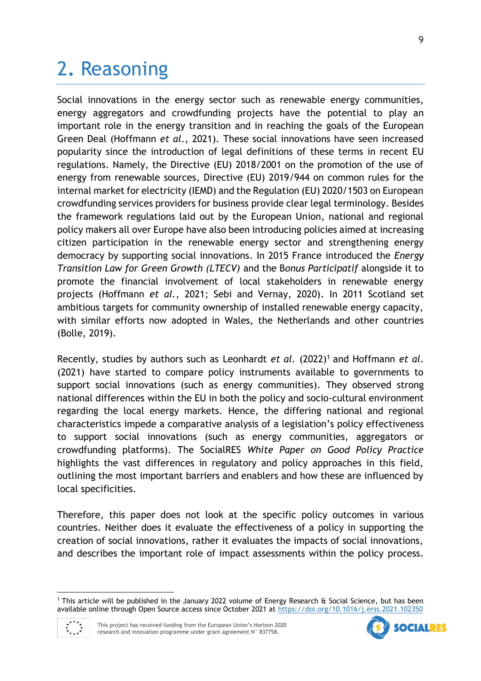# 2**.** Reasoning

Social innovations in the energy sector such as renewable energy communities, energy aggregators and crowdfunding projects have the potential to play an important role in the energy transition and in reaching the goals of the European Green Deal (Hoffmann *et al.*, 2021). These social innovations have seen increased popularity since the introduction of legal definitions of these terms in recent EU regulations. Namely, the Directive (EU) 2018/2001 on the promotion of the use of energy from renewable sources, Directive (EU) 2019/944 on common rules for the internal market for electricity (IEMD) and the Regulation (EU) 2020/1503 on European crowdfunding services providers for business provide clear legal terminology. Besides the framework regulations laid out by the European Union, national and regional policy makers all over Europe have also been introducing policies aimed at increasing citizen participation in the renewable energy sector and strengthening energy democracy by supporting social innovations. In 2015 France introduced the *Energy Transition Law for Green Growth (LTECV)* and the B*onus Participatif* alongside it to promote the financial involvement of local stakeholders in renewable energy projects (Hoffmann *et al.*, 2021; Sebi and Vernay, 2020). In 2011 Scotland set ambitious targets for community ownership of installed renewable energy capacity, with similar efforts now adopted in Wales, the Netherlands and other countries (Bolle, 2019).

Recently, studies by authors such as Leonhardt *et al.* (2022)<sup>1</sup> and Hoffmann *et al.* (2021) have started to compare policy instruments available to governments to support social innovations (such as energy communities). They observed strong national differences within the EU in both the policy and socio-cultural environment regarding the local energy markets. Hence, the differing national and regional characteristics impede a comparative analysis of a legislation's policy effectiveness to support social innovations (such as energy communities, aggregators or crowdfunding platforms). The SocialRES *White Paper on Good Policy Practice*  highlights the vast differences in regulatory and policy approaches in this field, outlining the most important barriers and enablers and how these are influenced by local specificities.

Therefore, this paper does not look at the specific policy outcomes in various countries. Neither does it evaluate the effectiveness of a policy in supporting the creation of social innovations, rather it evaluates the impacts of social innovations, and describes the important role of impact assessments within the policy process.

<sup>1</sup> This article will be published in the January 2022 volume of Energy Research & Social Science, but has been available online through Open Source access since October 2021 at<https://doi.org/10.1016/j.erss.2021.102350>



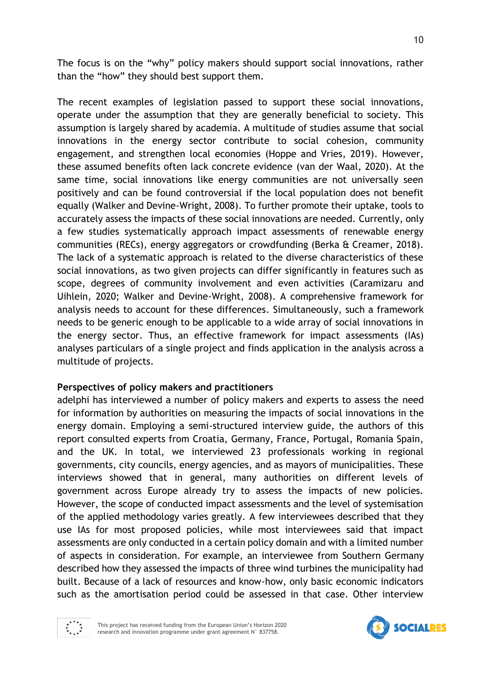The focus is on the "why" policy makers should support social innovations, rather than the "how" they should best support them.

The recent examples of legislation passed to support these social innovations, operate under the assumption that they are generally beneficial to society. This assumption is largely shared by academia. A multitude of studies assume that social innovations in the energy sector contribute to social cohesion, community engagement, and strengthen local economies (Hoppe and Vries, 2019). However, these assumed benefits often lack concrete evidence (van der Waal, 2020). At the same time, social innovations like energy communities are not universally seen positively and can be found controversial if the local population does not benefit equally (Walker and Devine-Wright, 2008). To further promote their uptake, tools to accurately assess the impacts of these social innovations are needed. Currently, only a few studies systematically approach impact assessments of renewable energy communities (RECs), energy aggregators or crowdfunding (Berka & Creamer, 2018). The lack of a systematic approach is related to the diverse characteristics of these social innovations, as two given projects can differ significantly in features such as scope, degrees of community involvement and even activities (Caramizaru and Uihlein, 2020; Walker and Devine-Wright, 2008). A comprehensive framework for analysis needs to account for these differences. Simultaneously, such a framework needs to be generic enough to be applicable to a wide array of social innovations in the energy sector. Thus, an effective framework for impact assessments (IAs) analyses particulars of a single project and finds application in the analysis across a multitude of projects.

### **Perspectives of policy makers and practitioners**

adelphi has interviewed a number of policy makers and experts to assess the need for information by authorities on measuring the impacts of social innovations in the energy domain. Employing a semi-structured interview guide, the authors of this report consulted experts from Croatia, Germany, France, Portugal, Romania Spain, and the UK. In total, we interviewed 23 professionals working in regional governments, city councils, energy agencies, and as mayors of municipalities. These interviews showed that in general, many authorities on different levels of government across Europe already try to assess the impacts of new policies. However, the scope of conducted impact assessments and the level of systemisation of the applied methodology varies greatly. A few interviewees described that they use IAs for most proposed policies, while most interviewees said that impact assessments are only conducted in a certain policy domain and with a limited number of aspects in consideration. For example, an interviewee from Southern Germany described how they assessed the impacts of three wind turbines the municipality had built. Because of a lack of resources and know-how, only basic economic indicators such as the amortisation period could be assessed in that case. Other interview



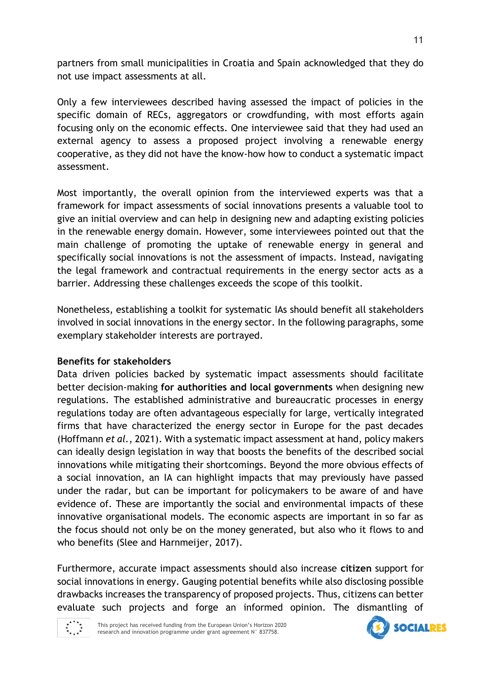partners from small municipalities in Croatia and Spain acknowledged that they do not use impact assessments at all.

Only a few interviewees described having assessed the impact of policies in the specific domain of RECs, aggregators or crowdfunding, with most efforts again focusing only on the economic effects. One interviewee said that they had used an external agency to assess a proposed project involving a renewable energy cooperative, as they did not have the know-how how to conduct a systematic impact assessment.

Most importantly, the overall opinion from the interviewed experts was that a framework for impact assessments of social innovations presents a valuable tool to give an initial overview and can help in designing new and adapting existing policies in the renewable energy domain. However, some interviewees pointed out that the main challenge of promoting the uptake of renewable energy in general and specifically social innovations is not the assessment of impacts. Instead, navigating the legal framework and contractual requirements in the energy sector acts as a barrier. Addressing these challenges exceeds the scope of this toolkit.

Nonetheless, establishing a toolkit for systematic IAs should benefit all stakeholders involved in social innovations in the energy sector. In the following paragraphs, some exemplary stakeholder interests are portrayed.

### **Benefits for stakeholders**

Data driven policies backed by systematic impact assessments should facilitate better decision-making **for authorities and local governments** when designing new regulations. The established administrative and bureaucratic processes in energy regulations today are often advantageous especially for large, vertically integrated firms that have characterized the energy sector in Europe for the past decades (Hoffmann *et al.*, 2021). With a systematic impact assessment at hand, policy makers can ideally design legislation in way that boosts the benefits of the described social innovations while mitigating their shortcomings. Beyond the more obvious effects of a social innovation, an IA can highlight impacts that may previously have passed under the radar, but can be important for policymakers to be aware of and have evidence of. These are importantly the social and environmental impacts of these innovative organisational models. The economic aspects are important in so far as the focus should not only be on the money generated, but also who it flows to and who benefits (Slee and Harnmeijer, 2017).

Furthermore, accurate impact assessments should also increase **citizen** support for social innovations in energy. Gauging potential benefits while also disclosing possible drawbacks increases the transparency of proposed projects. Thus, citizens can better evaluate such projects and forge an informed opinion. The dismantling of



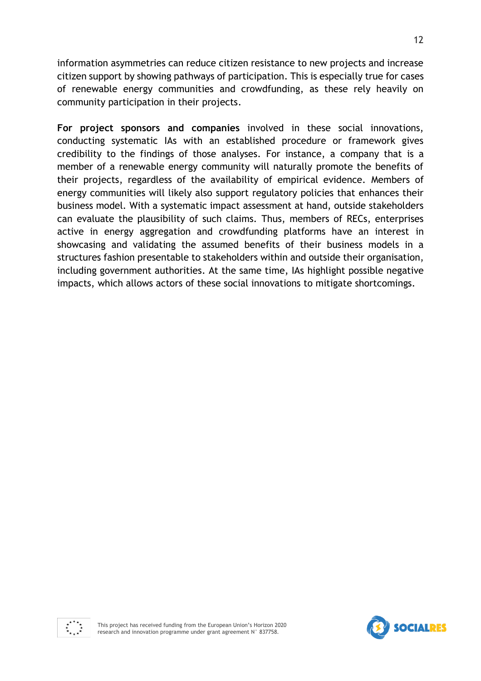information asymmetries can reduce citizen resistance to new projects and increase citizen support by showing pathways of participation. This is especially true for cases of renewable energy communities and crowdfunding, as these rely heavily on community participation in their projects.

**For project sponsors and companies** involved in these social innovations, conducting systematic IAs with an established procedure or framework gives credibility to the findings of those analyses. For instance, a company that is a member of a renewable energy community will naturally promote the benefits of their projects, regardless of the availability of empirical evidence. Members of energy communities will likely also support regulatory policies that enhances their business model. With a systematic impact assessment at hand, outside stakeholders can evaluate the plausibility of such claims. Thus, members of RECs, enterprises active in energy aggregation and crowdfunding platforms have an interest in showcasing and validating the assumed benefits of their business models in a structures fashion presentable to stakeholders within and outside their organisation, including government authorities. At the same time, IAs highlight possible negative impacts, which allows actors of these social innovations to mitigate shortcomings.



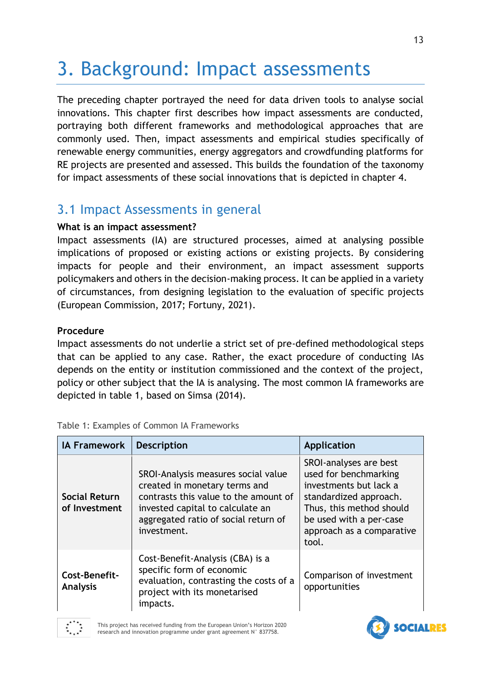# 3. Background: Impact assessments

The preceding chapter portrayed the need for data driven tools to analyse social innovations. This chapter first describes how impact assessments are conducted, portraying both different frameworks and methodological approaches that are commonly used. Then, impact assessments and empirical studies specifically of renewable energy communities, energy aggregators and crowdfunding platforms for RE projects are presented and assessed. This builds the foundation of the taxonomy for impact assessments of these social innovations that is depicted in chapter 4.

# 3.1 Impact Assessments in general

### **What is an impact assessment?**

Impact assessments (IA) are structured processes, aimed at analysing possible implications of proposed or existing actions or existing projects. By considering impacts for people and their environment, an impact assessment supports policymakers and others in the decision-making process. It can be applied in a variety of circumstances, from designing legislation to the evaluation of specific projects (European Commission, 2017; Fortuny, 2021).

### **Procedure**

Impact assessments do not underlie a strict set of pre-defined methodological steps that can be applied to any case. Rather, the exact procedure of conducting IAs depends on the entity or institution commissioned and the context of the project, policy or other subject that the IA is analysing. The most common IA frameworks are depicted in table 1, based on Simsa (2014).

| <b>IA Framework</b>                   | <b>Description</b>                                                                                                                                                                                       | <b>Application</b>                                                                                                                                                                               |
|---------------------------------------|----------------------------------------------------------------------------------------------------------------------------------------------------------------------------------------------------------|--------------------------------------------------------------------------------------------------------------------------------------------------------------------------------------------------|
| <b>Social Return</b><br>of Investment | SROI-Analysis measures social value<br>created in monetary terms and<br>contrasts this value to the amount of<br>invested capital to calculate an<br>aggregated ratio of social return of<br>investment. | SROI-analyses are best<br>used for benchmarking<br>investments but lack a<br>standardized approach.<br>Thus, this method should<br>be used with a per-case<br>approach as a comparative<br>tool. |
| Cost-Benefit-<br><b>Analysis</b>      | Cost-Benefit-Analysis (CBA) is a<br>specific form of economic<br>evaluation, contrasting the costs of a<br>project with its monetarised<br>impacts.                                                      | Comparison of investment<br>opportunities                                                                                                                                                        |

<span id="page-12-0"></span>

| Table 1: Examples of Common IA Frameworks |  |  |  |  |  |  |  |
|-------------------------------------------|--|--|--|--|--|--|--|
|-------------------------------------------|--|--|--|--|--|--|--|



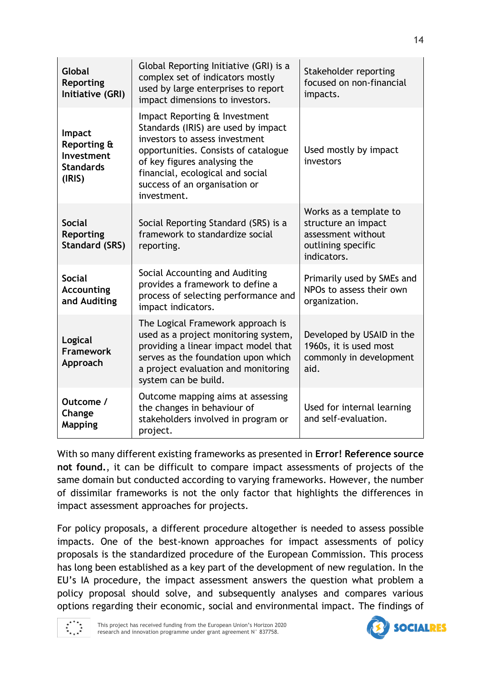| Global<br>Reporting<br>Initiative (GRI)                           | Global Reporting Initiative (GRI) is a<br>complex set of indicators mostly<br>used by large enterprises to report<br>impact dimensions to investors.                                                                                                               | Stakeholder reporting<br>focused on non-financial<br>impacts.                                            |
|-------------------------------------------------------------------|--------------------------------------------------------------------------------------------------------------------------------------------------------------------------------------------------------------------------------------------------------------------|----------------------------------------------------------------------------------------------------------|
| Impact<br>Reporting &<br>Investment<br><b>Standards</b><br>(IRIS) | Impact Reporting & Investment<br>Standards (IRIS) are used by impact<br>investors to assess investment<br>opportunities. Consists of catalogue<br>of key figures analysing the<br>financial, ecological and social<br>success of an organisation or<br>investment. | Used mostly by impact<br>investors                                                                       |
| <b>Social</b><br>Reporting<br><b>Standard (SRS)</b>               | Social Reporting Standard (SRS) is a<br>framework to standardize social<br>reporting.                                                                                                                                                                              | Works as a template to<br>structure an impact<br>assessment without<br>outlining specific<br>indicators. |
| <b>Social</b><br><b>Accounting</b><br>and Auditing                | Social Accounting and Auditing<br>provides a framework to define a<br>process of selecting performance and<br>impact indicators.                                                                                                                                   | Primarily used by SMEs and<br>NPOs to assess their own<br>organization.                                  |
| Logical<br><b>Framework</b><br>Approach                           | The Logical Framework approach is<br>used as a project monitoring system,<br>providing a linear impact model that<br>serves as the foundation upon which<br>a project evaluation and monitoring<br>system can be build.                                            | Developed by USAID in the<br>1960s, it is used most<br>commonly in development<br>aid.                   |
| Outcome /<br>Change<br><b>Mapping</b>                             | Outcome mapping aims at assessing<br>the changes in behaviour of<br>stakeholders involved in program or<br>project.                                                                                                                                                | Used for internal learning<br>and self-evaluation.                                                       |

With so many different existing frameworks as presented in **Error! Reference source not found.**, it can be difficult to compare impact assessments of projects of the same domain but conducted according to varying frameworks. However, the number of dissimilar frameworks is not the only factor that highlights the differences in impact assessment approaches for projects.

For policy proposals, a different procedure altogether is needed to assess possible impacts. One of the best-known approaches for impact assessments of policy proposals is the standardized procedure of the European Commission. This process has long been established as a key part of the development of new regulation. In the EU's IA procedure, the impact assessment answers the question what problem a policy proposal should solve, and subsequently analyses and compares various options regarding their economic, social and environmental impact. The findings of



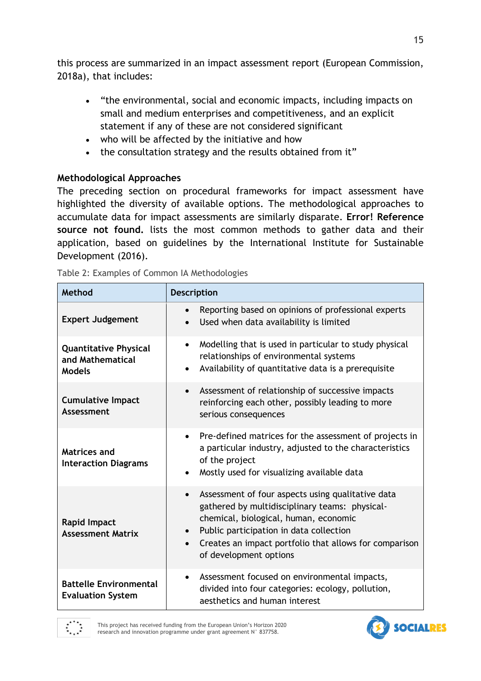this process are summarized in an impact assessment report (European Commission, 2018a), that includes:

- "the environmental, social and economic impacts, including impacts on small and medium enterprises and competitiveness, and an explicit statement if any of these are not considered significant
- who will be affected by the initiative and how
- the consultation strategy and the results obtained from it"

# **Methodological Approaches**

The preceding section on procedural frameworks for impact assessment have highlighted the diversity of available options. The methodological approaches to accumulate data for impact assessments are similarly disparate. **Error! Reference source not found.** lists the most common methods to gather data and their application, based on guidelines by the International Institute for Sustainable Development (2016).

| Method                                                            | <b>Description</b>                                                                                                                                                                                                                                                                                                 |
|-------------------------------------------------------------------|--------------------------------------------------------------------------------------------------------------------------------------------------------------------------------------------------------------------------------------------------------------------------------------------------------------------|
| <b>Expert Judgement</b>                                           | Reporting based on opinions of professional experts<br>$\bullet$<br>Used when data availability is limited<br>$\bullet$                                                                                                                                                                                            |
| <b>Quantitative Physical</b><br>and Mathematical<br><b>Models</b> | Modelling that is used in particular to study physical<br>$\bullet$<br>relationships of environmental systems<br>Availability of quantitative data is a prerequisite<br>$\bullet$                                                                                                                                  |
| <b>Cumulative Impact</b><br><b>Assessment</b>                     | Assessment of relationship of successive impacts<br>$\bullet$<br>reinforcing each other, possibly leading to more<br>serious consequences                                                                                                                                                                          |
| Matrices and<br><b>Interaction Diagrams</b>                       | Pre-defined matrices for the assessment of projects in<br>$\bullet$<br>a particular industry, adjusted to the characteristics<br>of the project<br>Mostly used for visualizing available data                                                                                                                      |
| <b>Rapid Impact</b><br><b>Assessment Matrix</b>                   | Assessment of four aspects using qualitative data<br>$\bullet$<br>gathered by multidisciplinary teams: physical-<br>chemical, biological, human, economic<br>Public participation in data collection<br>$\bullet$<br>Creates an impact portfolio that allows for comparison<br>$\bullet$<br>of development options |
| <b>Battelle Environmental</b><br><b>Evaluation System</b>         | Assessment focused on environmental impacts,<br>$\bullet$<br>divided into four categories: ecology, pollution,<br>aesthetics and human interest                                                                                                                                                                    |

<span id="page-14-0"></span>

|  |  | Table 2: Examples of Common IA Methodologies |
|--|--|----------------------------------------------|
|  |  |                                              |



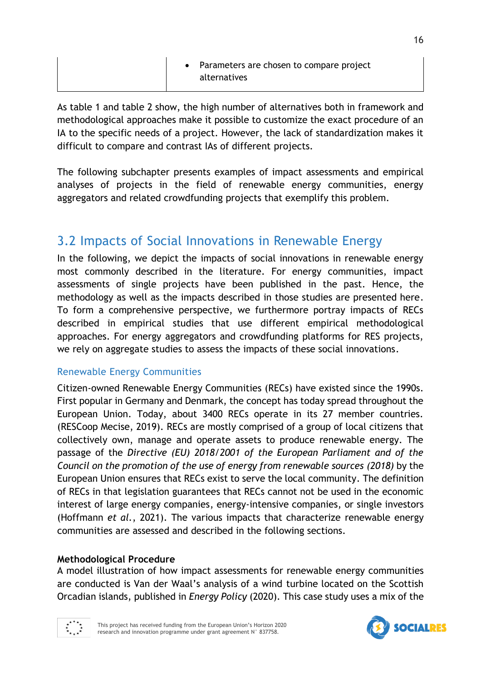| • Parameters are chosen to compare project |
|--------------------------------------------|
|                                            |

As table 1 and table 2 show, the high number of alternatives both in framework and methodological approaches make it possible to customize the exact procedure of an IA to the specific needs of a project. However, the lack of standardization makes it difficult to compare and contrast IAs of different projects.

The following subchapter presents examples of impact assessments and empirical analyses of projects in the field of renewable energy communities, energy aggregators and related crowdfunding projects that exemplify this problem.

# 3.2 Impacts of Social Innovations in Renewable Energy

In the following, we depict the impacts of social innovations in renewable energy most commonly described in the literature. For energy communities, impact assessments of single projects have been published in the past. Hence, the methodology as well as the impacts described in those studies are presented here. To form a comprehensive perspective, we furthermore portray impacts of RECs described in empirical studies that use different empirical methodological approaches. For energy aggregators and crowdfunding platforms for RES projects, we rely on aggregate studies to assess the impacts of these social innovations.

## Renewable Energy Communities

Citizen-owned Renewable Energy Communities (RECs) have existed since the 1990s. First popular in Germany and Denmark, the concept has today spread throughout the European Union. Today, about 3400 RECs operate in its 27 member countries. (RESCoop Mecise, 2019). RECs are mostly comprised of a group of local citizens that collectively own, manage and operate assets to produce renewable energy. The passage of the *Directive (EU) 2018/2001 of the European Parliament and of the Council on the promotion of the use of energy from renewable sources (2018)* by the European Union ensures that RECs exist to serve the local community. The definition of RECs in that legislation guarantees that RECs cannot not be used in the economic interest of large energy companies, energy-intensive companies, or single investors (Hoffmann *et al.*, 2021). The various impacts that characterize renewable energy communities are assessed and described in the following sections.

## **Methodological Procedure**

A model illustration of how impact assessments for renewable energy communities are conducted is Van der Waal's analysis of a wind turbine located on the Scottish Orcadian islands, published in *Energy Policy* (2020). This case study uses a mix of the



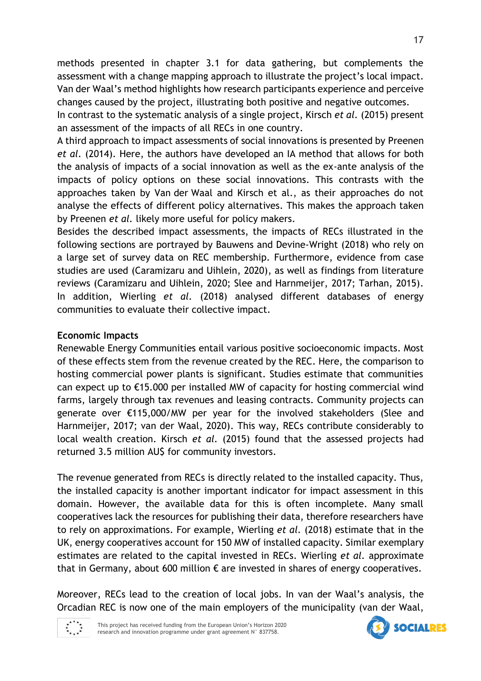methods presented in chapter 3.1 for data gathering, but complements the assessment with a change mapping approach to illustrate the project's local impact. Van der Waal's method highlights how research participants experience and perceive changes caused by the project, illustrating both positive and negative outcomes.

In contrast to the systematic analysis of a single project, Kirsch *et al.* (2015) present an assessment of the impacts of all RECs in one country.

A third approach to impact assessments of social innovations is presented by Preenen *et al.* (2014). Here, the authors have developed an IA method that allows for both the analysis of impacts of a social innovation as well as the ex-ante analysis of the impacts of policy options on these social innovations. This contrasts with the approaches taken by Van der Waal and Kirsch et al., as their approaches do not analyse the effects of different policy alternatives. This makes the approach taken by Preenen *et al.* likely more useful for policy makers.

Besides the described impact assessments, the impacts of RECs illustrated in the following sections are portrayed by Bauwens and Devine-Wright (2018) who rely on a large set of survey data on REC membership. Furthermore, evidence from case studies are used (Caramizaru and Uihlein, 2020), as well as findings from literature reviews (Caramizaru and Uihlein, 2020; Slee and Harnmeijer, 2017; Tarhan, 2015). In addition, Wierling *et al.* (2018) analysed different databases of energy communities to evaluate their collective impact.

## **Economic Impacts**

Renewable Energy Communities entail various positive socioeconomic impacts. Most of these effects stem from the revenue created by the REC. Here, the comparison to hosting commercial power plants is significant. Studies estimate that communities can expect up to €15.000 per installed MW of capacity for hosting commercial wind farms, largely through tax revenues and leasing contracts. Community projects can generate over €115,000/MW per year for the involved stakeholders (Slee and Harnmeijer, 2017; van der Waal, 2020). This way, RECs contribute considerably to local wealth creation. Kirsch *et al.* (2015) found that the assessed projects had returned 3.5 million AU\$ for community investors.

The revenue generated from RECs is directly related to the installed capacity. Thus, the installed capacity is another important indicator for impact assessment in this domain. However, the available data for this is often incomplete. Many small cooperatives lack the resources for publishing their data, therefore researchers have to rely on approximations. For example, Wierling *et al.* (2018) estimate that in the UK, energy cooperatives account for 150 MW of installed capacity. Similar exemplary estimates are related to the capital invested in RECs. Wierling *et al.* approximate that in Germany, about 600 million  $\epsilon$  are invested in shares of energy cooperatives.

Moreover, RECs lead to the creation of local jobs. In van der Waal's analysis, the Orcadian REC is now one of the main employers of the municipality (van der Waal,



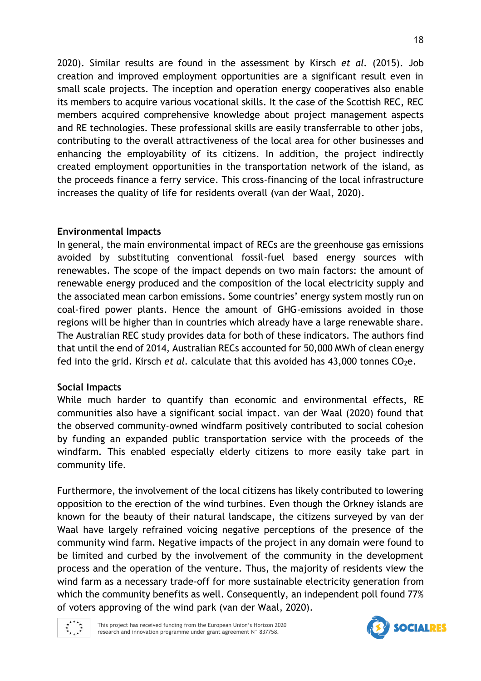2020). Similar results are found in the assessment by Kirsch *et al.* (2015). Job creation and improved employment opportunities are a significant result even in small scale projects. The inception and operation energy cooperatives also enable its members to acquire various vocational skills. It the case of the Scottish REC, REC members acquired comprehensive knowledge about project management aspects and RE technologies. These professional skills are easily transferrable to other jobs, contributing to the overall attractiveness of the local area for other businesses and enhancing the employability of its citizens. In addition, the project indirectly created employment opportunities in the transportation network of the island, as the proceeds finance a ferry service. This cross-financing of the local infrastructure increases the quality of life for residents overall (van der Waal, 2020).

### **Environmental Impacts**

In general, the main environmental impact of RECs are the greenhouse gas emissions avoided by substituting conventional fossil-fuel based energy sources with renewables. The scope of the impact depends on two main factors: the amount of renewable energy produced and the composition of the local electricity supply and the associated mean carbon emissions. Some countries' energy system mostly run on coal-fired power plants. Hence the amount of GHG-emissions avoided in those regions will be higher than in countries which already have a large renewable share. The Australian REC study provides data for both of these indicators. The authors find that until the end of 2014, Australian RECs accounted for 50,000 MWh of clean energy fed into the grid. Kirsch *et al.* calculate that this avoided has 43,000 tonnes CO<sub>2</sub>e.

### **Social Impacts**

While much harder to quantify than economic and environmental effects, RE communities also have a significant social impact. van der Waal (2020) found that the observed community-owned windfarm positively contributed to social cohesion by funding an expanded public transportation service with the proceeds of the windfarm. This enabled especially elderly citizens to more easily take part in community life.

Furthermore, the involvement of the local citizens has likely contributed to lowering opposition to the erection of the wind turbines. Even though the Orkney islands are known for the beauty of their natural landscape, the citizens surveyed by van der Waal have largely refrained voicing negative perceptions of the presence of the community wind farm. Negative impacts of the project in any domain were found to be limited and curbed by the involvement of the community in the development process and the operation of the venture. Thus, the majority of residents view the wind farm as a necessary trade-off for more sustainable electricity generation from which the community benefits as well. Consequently, an independent poll found 77% of voters approving of the wind park (van der Waal, 2020).



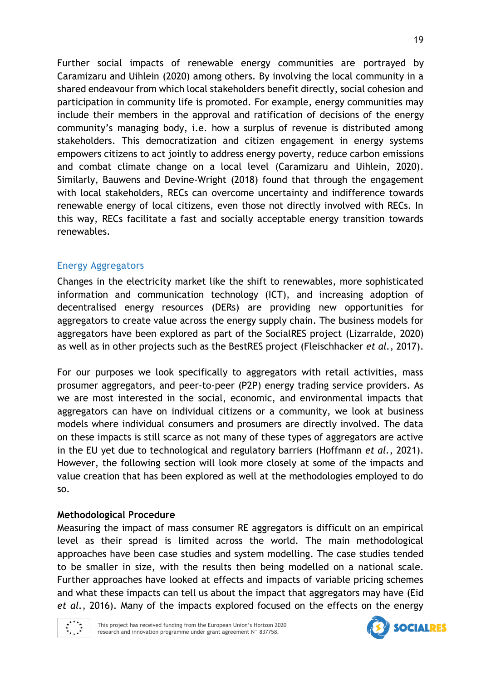Further social impacts of renewable energy communities are portrayed by Caramizaru and Uihlein (2020) among others. By involving the local community in a shared endeavour from which local stakeholders benefit directly, social cohesion and participation in community life is promoted. For example, energy communities may include their members in the approval and ratification of decisions of the energy community's managing body, i.e. how a surplus of revenue is distributed among stakeholders. This democratization and citizen engagement in energy systems empowers citizens to act jointly to address energy poverty, reduce carbon emissions and combat climate change on a local level (Caramizaru and Uihlein, 2020). Similarly, Bauwens and Devine-Wright (2018) found that through the engagement with local stakeholders, RECs can overcome uncertainty and indifference towards renewable energy of local citizens, even those not directly involved with RECs. In this way, RECs facilitate a fast and socially acceptable energy transition towards renewables.

# Energy Aggregators

Changes in the electricity market like the shift to renewables, more sophisticated information and communication technology (ICT), and increasing adoption of decentralised energy resources (DERs) are providing new opportunities for aggregators to create value across the energy supply chain. The business models for aggregators have been explored as part of the SocialRES project (Lizarralde, 2020) as well as in other projects such as the BestRES project (Fleischhacker *et al.*, 2017).

For our purposes we look specifically to aggregators with retail activities, mass prosumer aggregators, and peer-to-peer (P2P) energy trading service providers. As we are most interested in the social, economic, and environmental impacts that aggregators can have on individual citizens or a community, we look at business models where individual consumers and prosumers are directly involved. The data on these impacts is still scarce as not many of these types of aggregators are active in the EU yet due to technological and regulatory barriers (Hoffmann *et al.*, 2021). However, the following section will look more closely at some of the impacts and value creation that has been explored as well at the methodologies employed to do so.

## **Methodological Procedure**

Measuring the impact of mass consumer RE aggregators is difficult on an empirical level as their spread is limited across the world. The main methodological approaches have been case studies and system modelling. The case studies tended to be smaller in size, with the results then being modelled on a national scale. Further approaches have looked at effects and impacts of variable pricing schemes and what these impacts can tell us about the impact that aggregators may have (Eid *et al.*, 2016). Many of the impacts explored focused on the effects on the energy



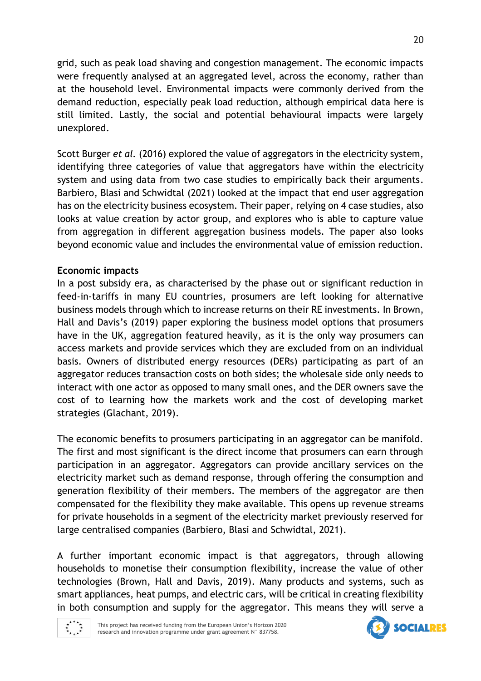grid, such as peak load shaving and congestion management. The economic impacts were frequently analysed at an aggregated level, across the economy, rather than at the household level. Environmental impacts were commonly derived from the demand reduction, especially peak load reduction, although empirical data here is still limited. Lastly, the social and potential behavioural impacts were largely unexplored.

Scott Burger *et al.* (2016) explored the value of aggregators in the electricity system, identifying three categories of value that aggregators have within the electricity system and using data from two case studies to empirically back their arguments. Barbiero, Blasi and Schwidtal (2021) looked at the impact that end user aggregation has on the electricity business ecosystem. Their paper, relying on 4 case studies, also looks at value creation by actor group, and explores who is able to capture value from aggregation in different aggregation business models. The paper also looks beyond economic value and includes the environmental value of emission reduction.

## **Economic impacts**

In a post subsidy era, as characterised by the phase out or significant reduction in feed-in-tariffs in many EU countries, prosumers are left looking for alternative business models through which to increase returns on their RE investments. In Brown, Hall and Davis's (2019) paper exploring the business model options that prosumers have in the UK, aggregation featured heavily, as it is the only way prosumers can access markets and provide services which they are excluded from on an individual basis. Owners of distributed energy resources (DERs) participating as part of an aggregator reduces transaction costs on both sides; the wholesale side only needs to interact with one actor as opposed to many small ones, and the DER owners save the cost of to learning how the markets work and the cost of developing market strategies (Glachant, 2019).

The economic benefits to prosumers participating in an aggregator can be manifold. The first and most significant is the direct income that prosumers can earn through participation in an aggregator. Aggregators can provide ancillary services on the electricity market such as demand response, through offering the consumption and generation flexibility of their members. The members of the aggregator are then compensated for the flexibility they make available. This opens up revenue streams for private households in a segment of the electricity market previously reserved for large centralised companies (Barbiero, Blasi and Schwidtal, 2021).

A further important economic impact is that aggregators, through allowing households to monetise their consumption flexibility, increase the value of other technologies (Brown, Hall and Davis, 2019). Many products and systems, such as smart appliances, heat pumps, and electric cars, will be critical in creating flexibility in both consumption and supply for the aggregator. This means they will serve a



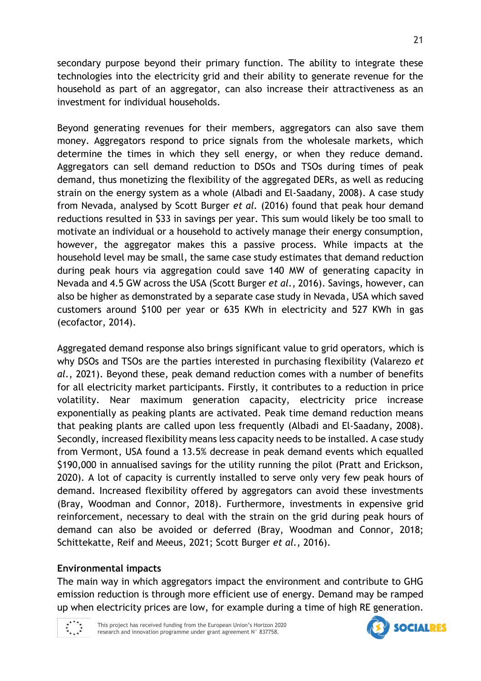secondary purpose beyond their primary function. The ability to integrate these technologies into the electricity grid and their ability to generate revenue for the household as part of an aggregator, can also increase their attractiveness as an investment for individual households.

Beyond generating revenues for their members, aggregators can also save them money. Aggregators respond to price signals from the wholesale markets, which determine the times in which they sell energy, or when they reduce demand. Aggregators can sell demand reduction to DSOs and TSOs during times of peak demand, thus monetizing the flexibility of the aggregated DERs, as well as reducing strain on the energy system as a whole (Albadi and El-Saadany, 2008). A case study from Nevada, analysed by Scott Burger *et al.* (2016) found that peak hour demand reductions resulted in \$33 in savings per year. This sum would likely be too small to motivate an individual or a household to actively manage their energy consumption, however, the aggregator makes this a passive process. While impacts at the household level may be small, the same case study estimates that demand reduction during peak hours via aggregation could save 140 MW of generating capacity in Nevada and 4.5 GW across the USA (Scott Burger *et al.*, 2016). Savings, however, can also be higher as demonstrated by a separate case study in Nevada, USA which saved customers around \$100 per year or 635 KWh in electricity and 527 KWh in gas (ecofactor, 2014).

Aggregated demand response also brings significant value to grid operators, which is why DSOs and TSOs are the parties interested in purchasing flexibility (Valarezo *et al.*, 2021). Beyond these, peak demand reduction comes with a number of benefits for all electricity market participants. Firstly, it contributes to a reduction in price volatility. Near maximum generation capacity, electricity price increase exponentially as peaking plants are activated. Peak time demand reduction means that peaking plants are called upon less frequently (Albadi and El-Saadany, 2008). Secondly, increased flexibility means less capacity needs to be installed. A case study from Vermont, USA found a 13.5% decrease in peak demand events which equalled \$190,000 in annualised savings for the utility running the pilot (Pratt and Erickson, 2020). A lot of capacity is currently installed to serve only very few peak hours of demand. Increased flexibility offered by aggregators can avoid these investments (Bray, Woodman and Connor, 2018). Furthermore, investments in expensive grid reinforcement, necessary to deal with the strain on the grid during peak hours of demand can also be avoided or deferred (Bray, Woodman and Connor, 2018; Schittekatte, Reif and Meeus, 2021; Scott Burger *et al.*, 2016).

### **Environmental impacts**

The main way in which aggregators impact the environment and contribute to GHG emission reduction is through more efficient use of energy. Demand may be ramped up when electricity prices are low, for example during a time of high RE generation.



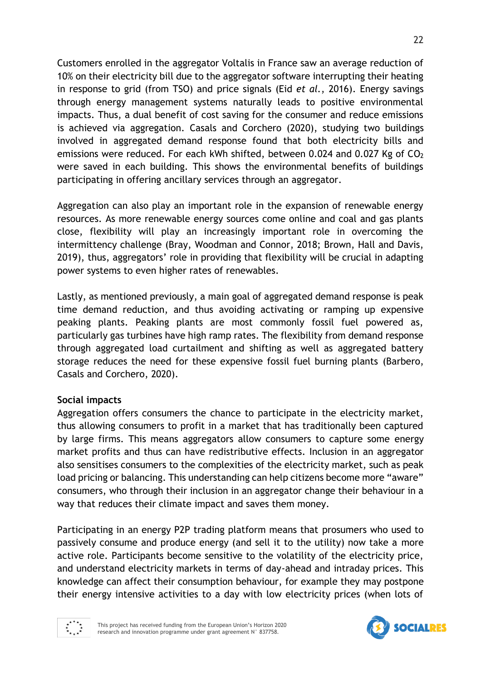Customers enrolled in the aggregator Voltalis in France saw an average reduction of 10% on their electricity bill due to the aggregator software interrupting their heating in response to grid (from TSO) and price signals (Eid *et al.*, 2016). Energy savings through energy management systems naturally leads to positive environmental impacts. Thus, a dual benefit of cost saving for the consumer and reduce emissions is achieved via aggregation. Casals and Corchero (2020), studying two buildings involved in aggregated demand response found that both electricity bills and emissions were reduced. For each kWh shifted, between 0.024 and 0.027 Kg of CO<sup>2</sup> were saved in each building. This shows the environmental benefits of buildings participating in offering ancillary services through an aggregator.

Aggregation can also play an important role in the expansion of renewable energy resources. As more renewable energy sources come online and coal and gas plants close, flexibility will play an increasingly important role in overcoming the intermittency challenge (Bray, Woodman and Connor, 2018; Brown, Hall and Davis, 2019), thus, aggregators' role in providing that flexibility will be crucial in adapting power systems to even higher rates of renewables.

Lastly, as mentioned previously, a main goal of aggregated demand response is peak time demand reduction, and thus avoiding activating or ramping up expensive peaking plants. Peaking plants are most commonly fossil fuel powered as, particularly gas turbines have high ramp rates. The flexibility from demand response through aggregated load curtailment and shifting as well as aggregated battery storage reduces the need for these expensive fossil fuel burning plants (Barbero, Casals and Corchero, 2020).

### **Social impacts**

Aggregation offers consumers the chance to participate in the electricity market, thus allowing consumers to profit in a market that has traditionally been captured by large firms. This means aggregators allow consumers to capture some energy market profits and thus can have redistributive effects. Inclusion in an aggregator also sensitises consumers to the complexities of the electricity market, such as peak load pricing or balancing. This understanding can help citizens become more "aware" consumers, who through their inclusion in an aggregator change their behaviour in a way that reduces their climate impact and saves them money.

Participating in an energy P2P trading platform means that prosumers who used to passively consume and produce energy (and sell it to the utility) now take a more active role. Participants become sensitive to the volatility of the electricity price, and understand electricity markets in terms of day-ahead and intraday prices. This knowledge can affect their consumption behaviour, for example they may postpone their energy intensive activities to a day with low electricity prices (when lots of



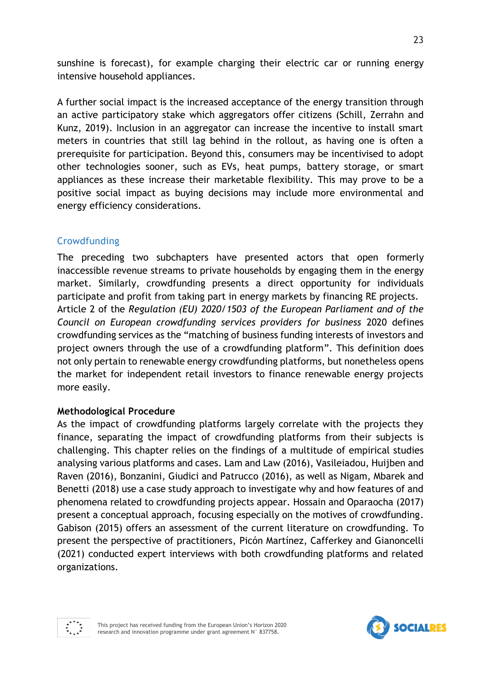sunshine is forecast), for example charging their electric car or running energy intensive household appliances.

A further social impact is the increased acceptance of the energy transition through an active participatory stake which aggregators offer citizens (Schill, Zerrahn and Kunz, 2019). Inclusion in an aggregator can increase the incentive to install smart meters in countries that still lag behind in the rollout, as having one is often a prerequisite for participation. Beyond this, consumers may be incentivised to adopt other technologies sooner, such as EVs, heat pumps, battery storage, or smart appliances as these increase their marketable flexibility. This may prove to be a positive social impact as buying decisions may include more environmental and energy efficiency considerations.

## Crowdfunding

The preceding two subchapters have presented actors that open formerly inaccessible revenue streams to private households by engaging them in the energy market. Similarly, crowdfunding presents a direct opportunity for individuals participate and profit from taking part in energy markets by financing RE projects. Article 2 of the *Regulation (EU) 2020/1503 of the European Parliament and of the Council on European crowdfunding services providers for business* 2020 defines crowdfunding services as the "matching of business funding interests of investors and project owners through the use of a crowdfunding platform". This definition does not only pertain to renewable energy crowdfunding platforms, but nonetheless opens the market for independent retail investors to finance renewable energy projects more easily.

### **Methodological Procedure**

As the impact of crowdfunding platforms largely correlate with the projects they finance, separating the impact of crowdfunding platforms from their subjects is challenging. This chapter relies on the findings of a multitude of empirical studies analysing various platforms and cases. Lam and Law (2016), Vasileiadou, Huijben and Raven (2016), Bonzanini, Giudici and Patrucco (2016), as well as Nigam, Mbarek and Benetti (2018) use a case study approach to investigate why and how features of and phenomena related to crowdfunding projects appear. Hossain and Oparaocha (2017) present a conceptual approach, focusing especially on the motives of crowdfunding. Gabison (2015) offers an assessment of the current literature on crowdfunding. To present the perspective of practitioners, Picón Martínez, Cafferkey and Gianoncelli (2021) conducted expert interviews with both crowdfunding platforms and related organizations.



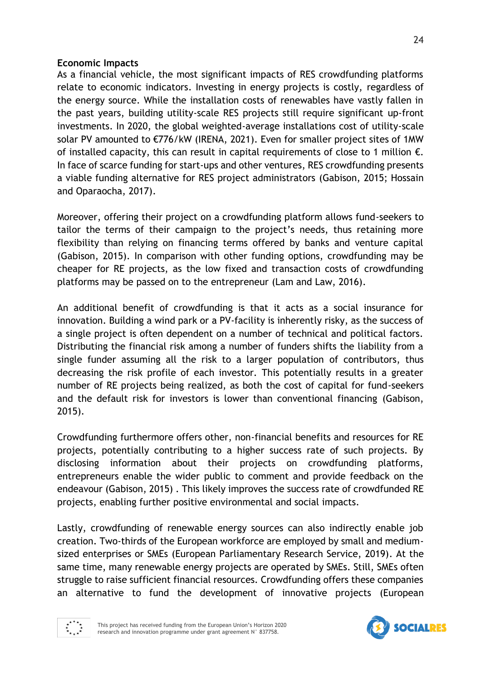### **Economic Impacts**

As a financial vehicle, the most significant impacts of RES crowdfunding platforms relate to economic indicators. Investing in energy projects is costly, regardless of the energy source. While the installation costs of renewables have vastly fallen in the past years, building utility-scale RES projects still require significant up-front investments. In 2020, the global weighted-average installations cost of utility-scale solar PV amounted to €776/kW (IRENA, 2021). Even for smaller project sites of 1MW of installed capacity, this can result in capital requirements of close to 1 million  $\epsilon$ . In face of scarce funding for start-ups and other ventures, RES crowdfunding presents a viable funding alternative for RES project administrators (Gabison, 2015; Hossain and Oparaocha, 2017).

Moreover, offering their project on a crowdfunding platform allows fund-seekers to tailor the terms of their campaign to the project's needs, thus retaining more flexibility than relying on financing terms offered by banks and venture capital (Gabison, 2015). In comparison with other funding options, crowdfunding may be cheaper for RE projects, as the low fixed and transaction costs of crowdfunding platforms may be passed on to the entrepreneur (Lam and Law, 2016).

An additional benefit of crowdfunding is that it acts as a social insurance for innovation. Building a wind park or a PV-facility is inherently risky, as the success of a single project is often dependent on a number of technical and political factors. Distributing the financial risk among a number of funders shifts the liability from a single funder assuming all the risk to a larger population of contributors, thus decreasing the risk profile of each investor. This potentially results in a greater number of RE projects being realized, as both the cost of capital for fund-seekers and the default risk for investors is lower than conventional financing (Gabison, 2015).

Crowdfunding furthermore offers other, non-financial benefits and resources for RE projects, potentially contributing to a higher success rate of such projects. By disclosing information about their projects on crowdfunding platforms, entrepreneurs enable the wider public to comment and provide feedback on the endeavour (Gabison, 2015) . This likely improves the success rate of crowdfunded RE projects, enabling further positive environmental and social impacts.

Lastly, crowdfunding of renewable energy sources can also indirectly enable job creation. Two-thirds of the European workforce are employed by small and mediumsized enterprises or SMEs (European Parliamentary Research Service, 2019). At the same time, many renewable energy projects are operated by SMEs. Still, SMEs often struggle to raise sufficient financial resources. Crowdfunding offers these companies an alternative to fund the development of innovative projects (European



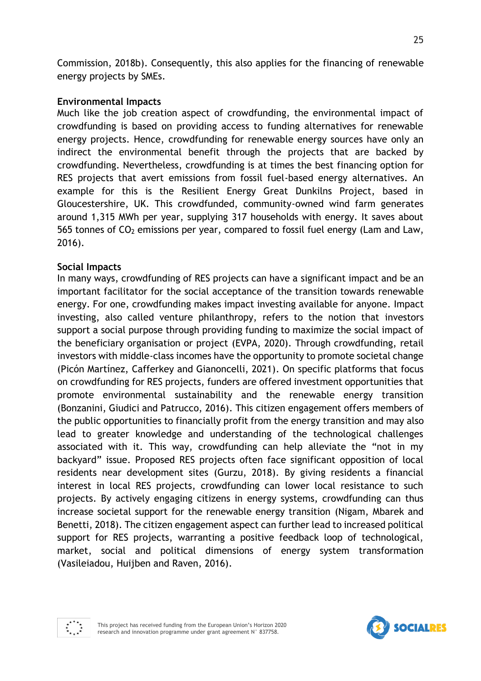Commission, 2018b). Consequently, this also applies for the financing of renewable energy projects by SMEs.

### **Environmental Impacts**

Much like the job creation aspect of crowdfunding, the environmental impact of crowdfunding is based on providing access to funding alternatives for renewable energy projects. Hence, crowdfunding for renewable energy sources have only an indirect the environmental benefit through the projects that are backed by crowdfunding. Nevertheless, crowdfunding is at times the best financing option for RES projects that avert emissions from fossil fuel-based energy alternatives. An example for this is the Resilient Energy Great Dunkilns Project, based in Gloucestershire, UK. This crowdfunded, community-owned wind farm generates around 1,315 MWh per year, supplying 317 households with energy. It saves about  $565$  tonnes of  $CO<sub>2</sub>$  emissions per year, compared to fossil fuel energy (Lam and Law, 2016).

### **Social Impacts**

In many ways, crowdfunding of RES projects can have a significant impact and be an important facilitator for the social acceptance of the transition towards renewable energy. For one, crowdfunding makes impact investing available for anyone. Impact investing, also called venture philanthropy, refers to the notion that investors support a social purpose through providing funding to maximize the social impact of the beneficiary organisation or project (EVPA, 2020). Through crowdfunding, retail investors with middle-class incomes have the opportunity to promote societal change (Picón Martínez, Cafferkey and Gianoncelli, 2021). On specific platforms that focus on crowdfunding for RES projects, funders are offered investment opportunities that promote environmental sustainability and the renewable energy transition (Bonzanini, Giudici and Patrucco, 2016). This citizen engagement offers members of the public opportunities to financially profit from the energy transition and may also lead to greater knowledge and understanding of the technological challenges associated with it. This way, crowdfunding can help alleviate the "not in my backyard" issue. Proposed RES projects often face significant opposition of local residents near development sites (Gurzu, 2018). By giving residents a financial interest in local RES projects, crowdfunding can lower local resistance to such projects. By actively engaging citizens in energy systems, crowdfunding can thus increase societal support for the renewable energy transition (Nigam, Mbarek and Benetti, 2018). The citizen engagement aspect can further lead to increased political support for RES projects, warranting a positive feedback loop of technological, market, social and political dimensions of energy system transformation (Vasileiadou, Huijben and Raven, 2016).



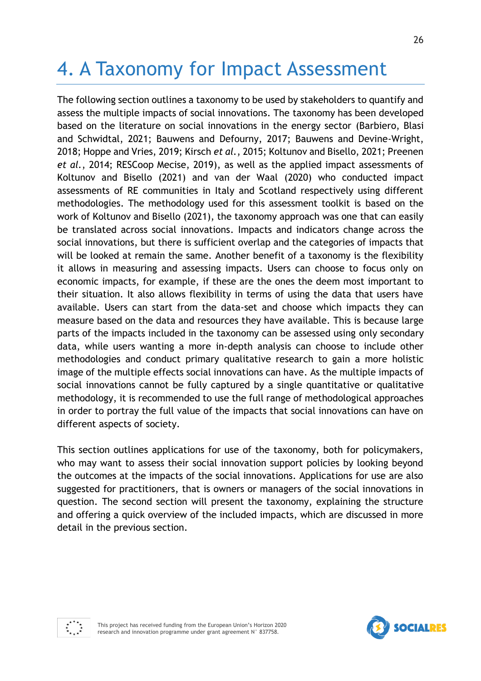# 4. A Taxonomy for Impact Assessment

The following section outlines a taxonomy to be used by stakeholders to quantify and assess the multiple impacts of social innovations. The taxonomy has been developed based on the literature on social innovations in the energy sector (Barbiero, Blasi and Schwidtal, 2021; Bauwens and Defourny, 2017; Bauwens and Devine-Wright, 2018; Hoppe and Vries, 2019; Kirsch *et al.*, 2015; Koltunov and Bisello, 2021; Preenen *et al.*, 2014; RESCoop Mecise, 2019), as well as the applied impact assessments of Koltunov and Bisello (2021) and van der Waal (2020) who conducted impact assessments of RE communities in Italy and Scotland respectively using different methodologies. The methodology used for this assessment toolkit is based on the work of Koltunov and Bisello (2021), the taxonomy approach was one that can easily be translated across social innovations. Impacts and indicators change across the social innovations, but there is sufficient overlap and the categories of impacts that will be looked at remain the same. Another benefit of a taxonomy is the flexibility it allows in measuring and assessing impacts. Users can choose to focus only on economic impacts, for example, if these are the ones the deem most important to their situation. It also allows flexibility in terms of using the data that users have available. Users can start from the data-set and choose which impacts they can measure based on the data and resources they have available. This is because large parts of the impacts included in the taxonomy can be assessed using only secondary data, while users wanting a more in-depth analysis can choose to include other methodologies and conduct primary qualitative research to gain a more holistic image of the multiple effects social innovations can have. As the multiple impacts of social innovations cannot be fully captured by a single quantitative or qualitative methodology, it is recommended to use the full range of methodological approaches in order to portray the full value of the impacts that social innovations can have on different aspects of society.

This section outlines applications for use of the taxonomy, both for policymakers, who may want to assess their social innovation support policies by looking beyond the outcomes at the impacts of the social innovations. Applications for use are also suggested for practitioners, that is owners or managers of the social innovations in question. The second section will present the taxonomy, explaining the structure and offering a quick overview of the included impacts, which are discussed in more detail in the previous section.





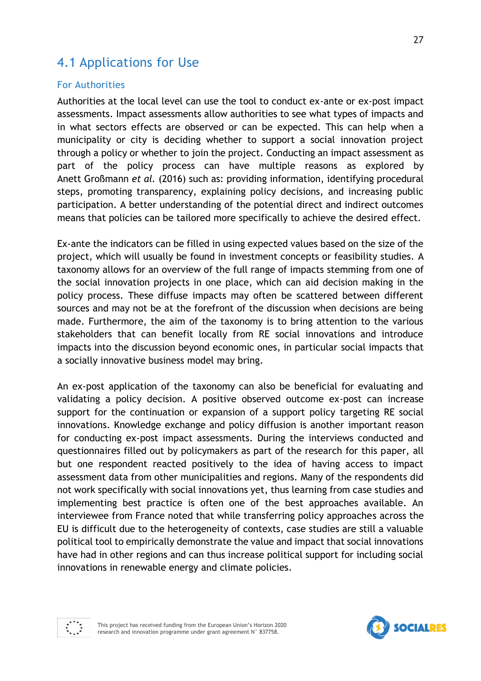# 4.1 Applications for Use

### For Authorities

Authorities at the local level can use the tool to conduct ex-ante or ex-post impact assessments. Impact assessments allow authorities to see what types of impacts and in what sectors effects are observed or can be expected. This can help when a municipality or city is deciding whether to support a social innovation project through a policy or whether to join the project. Conducting an impact assessment as part of the policy process can have multiple reasons as explored by Anett Großmann *et al.* (2016) such as: providing information, identifying procedural steps, promoting transparency, explaining policy decisions, and increasing public participation. A better understanding of the potential direct and indirect outcomes means that policies can be tailored more specifically to achieve the desired effect.

Ex-ante the indicators can be filled in using expected values based on the size of the project, which will usually be found in investment concepts or feasibility studies. A taxonomy allows for an overview of the full range of impacts stemming from one of the social innovation projects in one place, which can aid decision making in the policy process. These diffuse impacts may often be scattered between different sources and may not be at the forefront of the discussion when decisions are being made. Furthermore, the aim of the taxonomy is to bring attention to the various stakeholders that can benefit locally from RE social innovations and introduce impacts into the discussion beyond economic ones, in particular social impacts that a socially innovative business model may bring.

An ex-post application of the taxonomy can also be beneficial for evaluating and validating a policy decision. A positive observed outcome ex-post can increase support for the continuation or expansion of a support policy targeting RE social innovations. Knowledge exchange and policy diffusion is another important reason for conducting ex-post impact assessments. During the interviews conducted and questionnaires filled out by policymakers as part of the research for this paper, all but one respondent reacted positively to the idea of having access to impact assessment data from other municipalities and regions. Many of the respondents did not work specifically with social innovations yet, thus learning from case studies and implementing best practice is often one of the best approaches available. An interviewee from France noted that while transferring policy approaches across the EU is difficult due to the heterogeneity of contexts, case studies are still a valuable political tool to empirically demonstrate the value and impact that social innovations have had in other regions and can thus increase political support for including social innovations in renewable energy and climate policies.



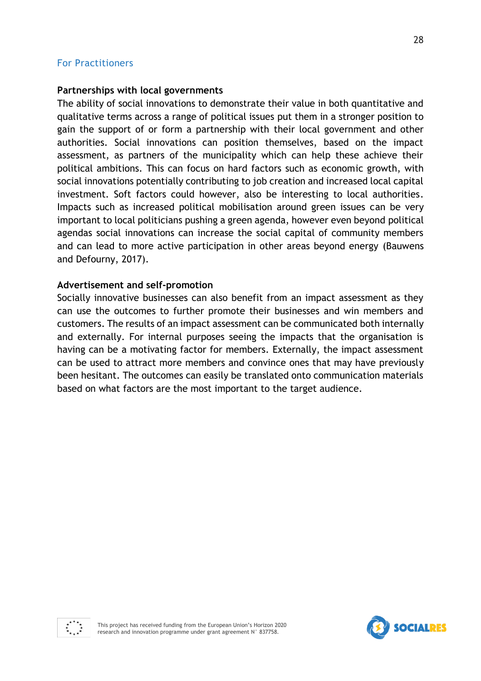#### For Practitioners

#### **Partnerships with local governments**

The ability of social innovations to demonstrate their value in both quantitative and qualitative terms across a range of political issues put them in a stronger position to gain the support of or form a partnership with their local government and other authorities. Social innovations can position themselves, based on the impact assessment, as partners of the municipality which can help these achieve their political ambitions. This can focus on hard factors such as economic growth, with social innovations potentially contributing to job creation and increased local capital investment. Soft factors could however, also be interesting to local authorities. Impacts such as increased political mobilisation around green issues can be very important to local politicians pushing a green agenda, however even beyond political agendas social innovations can increase the social capital of community members and can lead to more active participation in other areas beyond energy (Bauwens and Defourny, 2017).

#### **Advertisement and self-promotion**

Socially innovative businesses can also benefit from an impact assessment as they can use the outcomes to further promote their businesses and win members and customers. The results of an impact assessment can be communicated both internally and externally. For internal purposes seeing the impacts that the organisation is having can be a motivating factor for members. Externally, the impact assessment can be used to attract more members and convince ones that may have previously been hesitant. The outcomes can easily be translated onto communication materials based on what factors are the most important to the target audience.



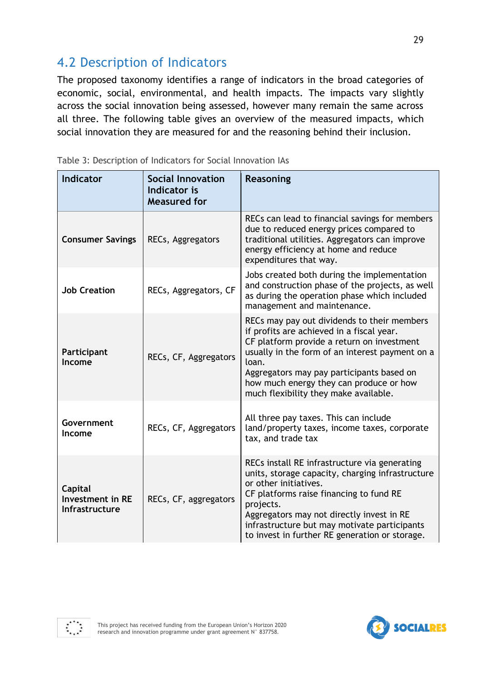# 4.2 Description of Indicators

The proposed taxonomy identifies a range of indicators in the broad categories of economic, social, environmental, and health impacts. The impacts vary slightly across the social innovation being assessed, however many remain the same across all three. The following table gives an overview of the measured impacts, which social innovation they are measured for and the reasoning behind their inclusion.

| <b>Indicator</b>                                     | <b>Social Innovation</b><br>Indicator is<br><b>Measured for</b> | Reasoning                                                                                                                                                                                                                                                                                                                           |  |  |
|------------------------------------------------------|-----------------------------------------------------------------|-------------------------------------------------------------------------------------------------------------------------------------------------------------------------------------------------------------------------------------------------------------------------------------------------------------------------------------|--|--|
| <b>Consumer Savings</b>                              | RECs, Aggregators                                               | RECs can lead to financial savings for members<br>due to reduced energy prices compared to<br>traditional utilities. Aggregators can improve<br>energy efficiency at home and reduce<br>expenditures that way.                                                                                                                      |  |  |
| <b>Job Creation</b>                                  | RECs, Aggregators, CF                                           | Jobs created both during the implementation<br>and construction phase of the projects, as well<br>as during the operation phase which included<br>management and maintenance.                                                                                                                                                       |  |  |
| Participant<br>Income                                | RECs, CF, Aggregators                                           | RECs may pay out dividends to their members<br>if profits are achieved in a fiscal year.<br>CF platform provide a return on investment<br>usually in the form of an interest payment on a<br>loan.<br>Aggregators may pay participants based on<br>how much energy they can produce or how<br>much flexibility they make available. |  |  |
| Government<br>Income                                 | RECs, CF, Aggregators                                           | All three pay taxes. This can include<br>land/property taxes, income taxes, corporate<br>tax, and trade tax                                                                                                                                                                                                                         |  |  |
| Capital<br><b>Investment in RE</b><br>Infrastructure | RECs, CF, aggregators                                           | RECs install RE infrastructure via generating<br>units, storage capacity, charging infrastructure<br>or other initiatives.<br>CF platforms raise financing to fund RE<br>projects.<br>Aggregators may not directly invest in RE<br>infrastructure but may motivate participants<br>to invest in further RE generation or storage.   |  |  |

<span id="page-28-0"></span>

| Table 3: Description of Indicators for Social Innovation IAs |  |  |  |  |  |  |  |  |  |
|--------------------------------------------------------------|--|--|--|--|--|--|--|--|--|
|--------------------------------------------------------------|--|--|--|--|--|--|--|--|--|

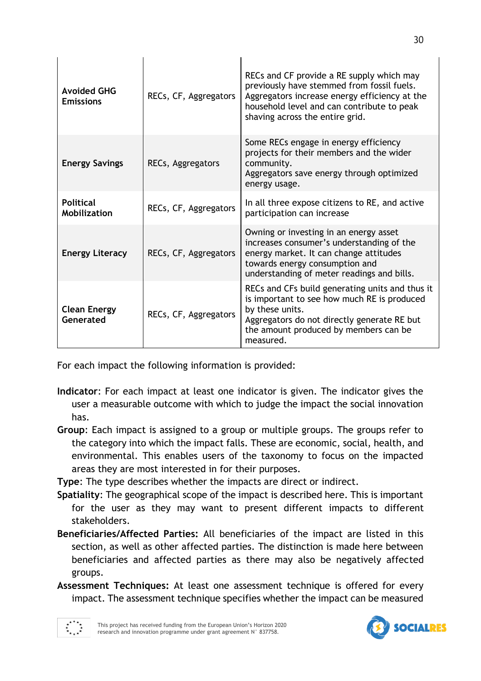| <b>Avoided GHG</b><br><b>Emissions</b>  | RECs, CF, Aggregators | RECs and CF provide a RE supply which may<br>previously have stemmed from fossil fuels.<br>Aggregators increase energy efficiency at the<br>household level and can contribute to peak<br>shaving across the entire grid. |
|-----------------------------------------|-----------------------|---------------------------------------------------------------------------------------------------------------------------------------------------------------------------------------------------------------------------|
| <b>Energy Savings</b>                   | RECs, Aggregators     | Some RECs engage in energy efficiency<br>projects for their members and the wider<br>community.<br>Aggregators save energy through optimized<br>energy usage.                                                             |
| <b>Political</b><br><b>Mobilization</b> | RECs, CF, Aggregators | In all three expose citizens to RE, and active<br>participation can increase                                                                                                                                              |
| <b>Energy Literacy</b>                  | RECs, CF, Aggregators | Owning or investing in an energy asset<br>increases consumer's understanding of the<br>energy market. It can change attitudes<br>towards energy consumption and<br>understanding of meter readings and bills.             |
| <b>Clean Energy</b><br>Generated        | RECs, CF, Aggregators | RECs and CFs build generating units and thus it<br>is important to see how much RE is produced<br>by these units.<br>Aggregators do not directly generate RE but<br>the amount produced by members can be<br>measured.    |

 $\mathbf{r}$ 

For each impact the following information is provided:

- **Indicator**: For each impact at least one indicator is given. The indicator gives the user a measurable outcome with which to judge the impact the social innovation has.
- **Group**: Each impact is assigned to a group or multiple groups. The groups refer to the category into which the impact falls. These are economic, social, health, and environmental. This enables users of the taxonomy to focus on the impacted areas they are most interested in for their purposes.

**Type**: The type describes whether the impacts are direct or indirect.

- **Spatiality**: The geographical scope of the impact is described here. This is important for the user as they may want to present different impacts to different stakeholders.
- **Beneficiaries/Affected Parties:** All beneficiaries of the impact are listed in this section, as well as other affected parties. The distinction is made here between beneficiaries and affected parties as there may also be negatively affected groups.
- **Assessment Techniques:** At least one assessment technique is offered for every impact. The assessment technique specifies whether the impact can be measured



 $\overline{1}$ 

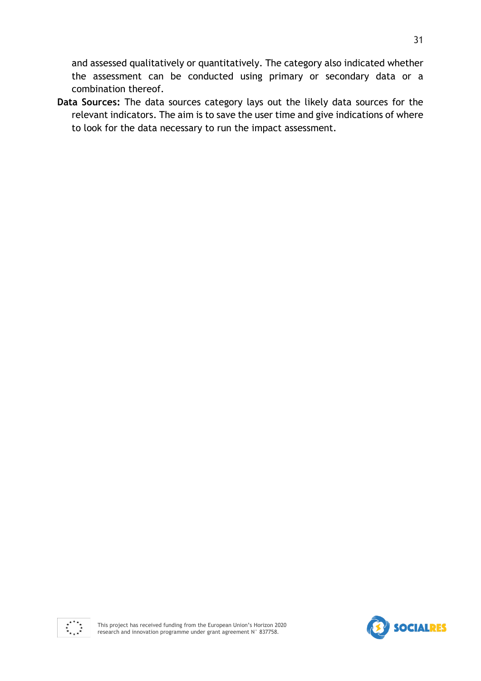and assessed qualitatively or quantitatively. The category also indicated whether the assessment can be conducted using primary or secondary data or a combination thereof.

**Data Sources:** The data sources category lays out the likely data sources for the relevant indicators. The aim is to save the user time and give indications of where to look for the data necessary to run the impact assessment.



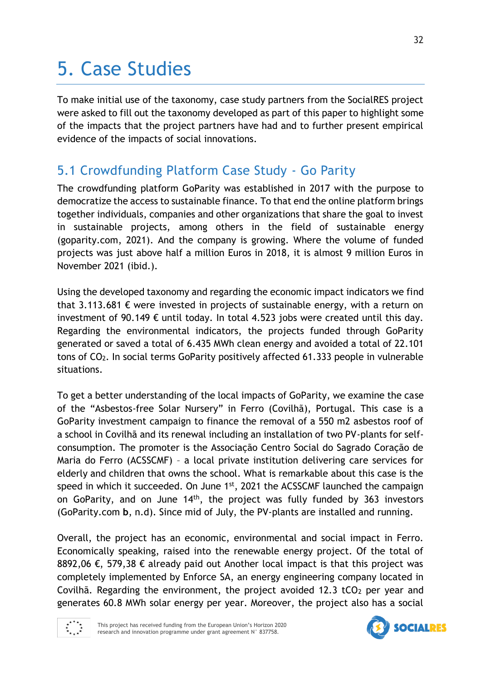# 5. Case Studies

To make initial use of the taxonomy, case study partners from the SocialRES project were asked to fill out the taxonomy developed as part of this paper to highlight some of the impacts that the project partners have had and to further present empirical evidence of the impacts of social innovations.

# 5.1 Crowdfunding Platform Case Study - Go Parity

The crowdfunding platform GoParity was established in 2017 with the purpose to democratize the access to sustainable finance. To that end the online platform brings together individuals, companies and other organizations that share the goal to invest in sustainable projects, among others in the field of sustainable energy (goparity.com, 2021). And the company is growing. Where the volume of funded projects was just above half a million Euros in 2018, it is almost 9 million Euros in November 2021 (ibid.).

Using the developed taxonomy and regarding the economic impact indicators we find that 3.113.681  $\epsilon$  were invested in projects of sustainable energy, with a return on investment of 90.149  $\epsilon$  until today. In total 4.523 jobs were created until this day. Regarding the environmental indicators, the projects funded through GoParity generated or saved a total of 6.435 MWh clean energy and avoided a total of 22.101 tons of CO2. In social terms GoParity positively affected 61.333 people in vulnerable situations.

To get a better understanding of the local impacts of GoParity, we examine the case of the "Asbestos-free Solar Nursery" in Ferro (Covilhã), Portugal. This case is a GoParity investment campaign to finance the removal of a 550 m2 asbestos roof of a school in Covilhã and its renewal including an installation of two PV-plants for selfconsumption. The promoter is the Associação Centro Social do Sagrado Coração de Maria do Ferro (ACSSCMF) – a local private institution delivering care services for elderly and children that owns the school. What is remarkable about this case is the speed in which it succeeded. On June 1<sup>st</sup>, 2021 the ACSSCMF launched the campaign on GoParity, and on June  $14<sup>th</sup>$ , the project was fully funded by 363 investors (GoParity.com **b**, n.d). Since mid of July, the PV-plants are installed and running.

Overall, the project has an economic, environmental and social impact in Ferro. Economically speaking, raised into the renewable energy project. Of the total of 8892,06 €, 579,38 € already paid out Another local impact is that this project was completely implemented by Enforce SA, an energy engineering company located in Covilhã. Regarding the environment, the project avoided 12.3 tCO<sub>2</sub> per year and generates 60.8 MWh solar energy per year. Moreover, the project also has a social



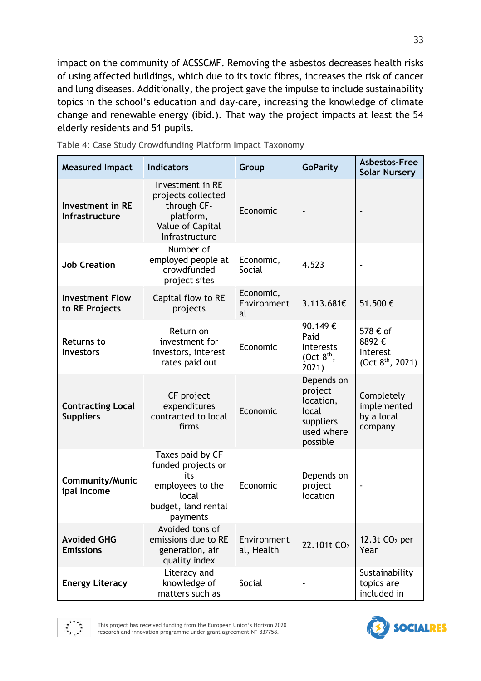impact on the community of ACSSCMF. Removing the asbestos decreases health risks of using affected buildings, which due to its toxic fibres, increases the risk of cancer and lung diseases. Additionally, the project gave the impulse to include sustainability topics in the school's education and day-care, increasing the knowledge of climate change and renewable energy (ibid.). That way the project impacts at least the 54 elderly residents and 51 pupils.

| <b>Measured Impact</b>                       | <b>Indicators</b>                                                                                             | Group                          | <b>GoParity</b>                                                                    | Asbestos-Free<br><b>Solar Nursery</b>                         |
|----------------------------------------------|---------------------------------------------------------------------------------------------------------------|--------------------------------|------------------------------------------------------------------------------------|---------------------------------------------------------------|
| <b>Investment in RE</b><br>Infrastructure    | Investment in RE<br>projects collected<br>through CF-<br>platform,<br>Value of Capital<br>Infrastructure      | Economic                       |                                                                                    |                                                               |
| <b>Job Creation</b>                          | Number of<br>employed people at<br>crowdfunded<br>project sites                                               | Economic,<br>Social            | 4.523                                                                              |                                                               |
| <b>Investment Flow</b><br>to RE Projects     | Capital flow to RE<br>projects                                                                                | Economic,<br>Environment<br>al | 3.113.681€                                                                         | 51.500€                                                       |
| <b>Returns to</b><br><b>Investors</b>        | Return on<br>investment for<br>investors, interest<br>rates paid out                                          | Economic                       | 90.149€<br>Paid<br><b>Interests</b><br>(Oct $8th$ ,<br>2021)                       | 578 € of<br>8892€<br>Interest<br>(Oct 8 <sup>th</sup> , 2021) |
| <b>Contracting Local</b><br><b>Suppliers</b> | CF project<br>expenditures<br>contracted to local<br>firms                                                    | Economic                       | Depends on<br>project<br>location,<br>local<br>suppliers<br>used where<br>possible | Completely<br>implemented<br>by a local<br>company            |
| <b>Community/Munic</b><br>ipal Income        | Taxes paid by CF<br>funded projects or<br>its<br>employees to the<br>local<br>budget, land rental<br>payments | Economic                       | Depends on<br>project<br>location                                                  |                                                               |
| <b>Avoided GHG</b><br><b>Emissions</b>       | Avoided tons of<br>emissions due to RE<br>generation, air<br>quality index                                    | Environment<br>al, Health      | 22.101t CO <sub>2</sub>                                                            | 12.3t $CO2$ per<br>Year                                       |
| <b>Energy Literacy</b>                       | Literacy and<br>knowledge of<br>matters such as                                                               | Social                         |                                                                                    | Sustainability<br>topics are<br>included in                   |

<span id="page-32-0"></span>

|  | Table 4: Case Study Crowdfunding Platform Impact Taxonomy |  |  |
|--|-----------------------------------------------------------|--|--|
|  |                                                           |  |  |



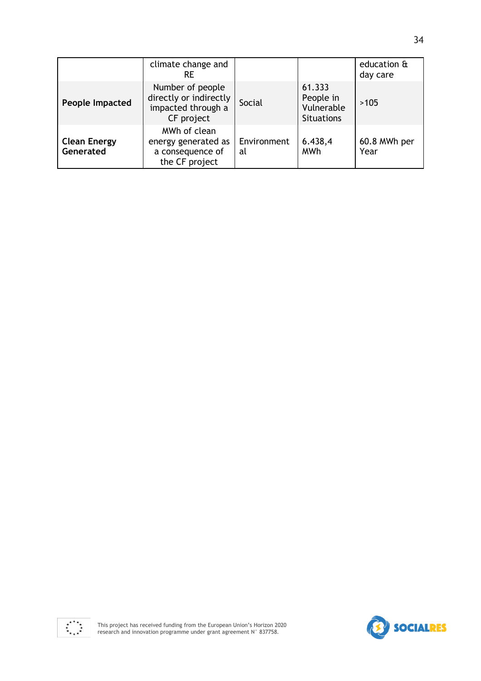|                                  | climate change and<br>RE                                                       |                   |                                                        | education &<br>day care |
|----------------------------------|--------------------------------------------------------------------------------|-------------------|--------------------------------------------------------|-------------------------|
| People Impacted                  | Number of people<br>directly or indirectly<br>impacted through a<br>CF project | Social            | 61.333<br>People in<br>Vulnerable<br><b>Situations</b> | >105                    |
| <b>Clean Energy</b><br>Generated | MWh of clean<br>energy generated as<br>a consequence of<br>the CF project      | Environment<br>al | 6.438,4<br><b>MWh</b>                                  | 60.8 MWh per<br>Year    |



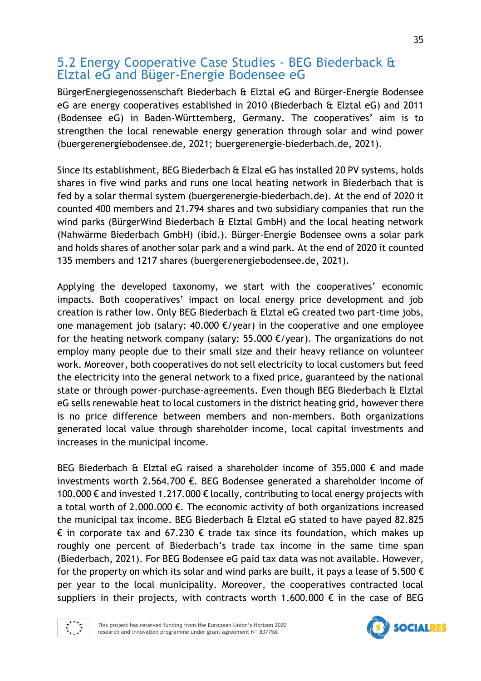# 5.2 Energy Cooperative Case Studies - BEG Biederback & Elztal eG and Büger-Energie Bodensee eG

BürgerEnergiegenossenschaft Biederbach & Elztal eG and Bürger-Energie Bodensee eG are energy cooperatives established in 2010 (Biederbach & Elztal eG) and 2011 (Bodensee eG) in Baden-Württemberg, Germany. The cooperatives' aim is to strengthen the local renewable energy generation through solar and wind power (buergerenergiebodensee.de, 2021; buergerenergie-biederbach.de, 2021).

Since its establishment, BEG Biederbach & Elzal eG has installed 20 PV systems, holds shares in five wind parks and runs one local heating network in Biederbach that is fed by a solar thermal system (buergerenergie-biederbach.de). At the end of 2020 it counted 400 members and 21.794 shares and two subsidiary companies that run the wind parks (BürgerWind Biederbach & Elztal GmbH) and the local heating network (Nahwärme Biederbach GmbH) (ibid.). Bürger-Energie Bodensee owns a solar park and holds shares of another solar park and a wind park. At the end of 2020 it counted 135 members and 1217 shares (buergerenergiebodensee.de, 2021).

Applying the developed taxonomy, we start with the cooperatives' economic impacts. Both cooperatives' impact on local energy price development and job creation is rather low. Only BEG Biederbach & Elztal eG created two part-time jobs, one management job (salary: 40.000  $E$ /year) in the cooperative and one employee for the heating network company (salary: 55.000  $\epsilon$ /year). The organizations do not employ many people due to their small size and their heavy reliance on volunteer work. Moreover, both cooperatives do not sell electricity to local customers but feed the electricity into the general network to a fixed price, guaranteed by the national state or through power-purchase-agreements. Even though BEG Biederbach & Elztal eG sells renewable heat to local customers in the district heating grid, however there is no price difference between members and non-members. Both organizations generated local value through shareholder income, local capital investments and increases in the municipal income.

BEG Biederbach & Elztal eG raised a shareholder income of 355.000 € and made investments worth 2.564.700 €. BEG Bodensee generated a shareholder income of 100.000 € and invested 1.217.000 € locally, contributing to local energy projects with a total worth of 2.000.000  $\epsilon$ . The economic activity of both organizations increased the municipal tax income. BEG Biederbach & Elztal eG stated to have payed 82.825  $\epsilon$  in corporate tax and 67.230  $\epsilon$  trade tax since its foundation, which makes up roughly one percent of Biederbach's trade tax income in the same time span (Biederbach, 2021). For BEG Bodensee eG paid tax data was not available. However, for the property on which its solar and wind parks are built, it pays a lease of 5.500  $\epsilon$ per year to the local municipality. Moreover, the cooperatives contracted local suppliers in their projects, with contracts worth 1.600.000  $\epsilon$  in the case of BEG



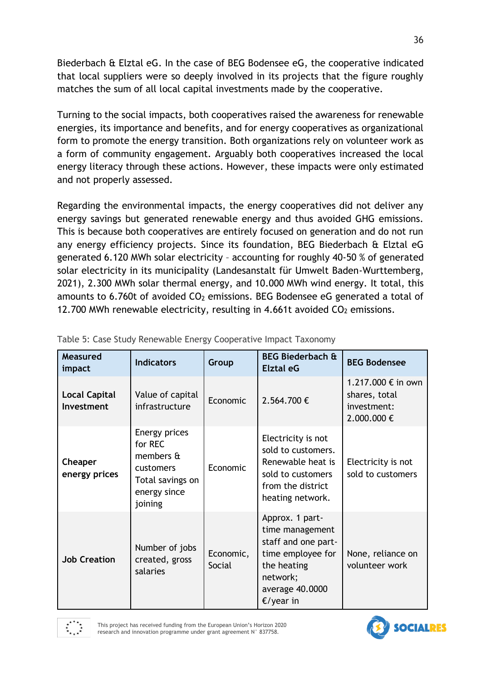Biederbach & Elztal eG. In the case of BEG Bodensee eG, the cooperative indicated that local suppliers were so deeply involved in its projects that the figure roughly matches the sum of all local capital investments made by the cooperative.

Turning to the social impacts, both cooperatives raised the awareness for renewable energies, its importance and benefits, and for energy cooperatives as organizational form to promote the energy transition. Both organizations rely on volunteer work as a form of community engagement. Arguably both cooperatives increased the local energy literacy through these actions. However, these impacts were only estimated and not properly assessed.

Regarding the environmental impacts, the energy cooperatives did not deliver any energy savings but generated renewable energy and thus avoided GHG emissions. This is because both cooperatives are entirely focused on generation and do not run any energy efficiency projects. Since its foundation, BEG Biederbach & Elztal eG generated 6.120 MWh solar electricity – accounting for roughly 40-50 % of generated solar electricity in its municipality (Landesanstalt für Umwelt Baden-Wurttemberg, 2021), 2.300 MWh solar thermal energy, and 10.000 MWh wind energy. It total, this amounts to 6.760t of avoided  $CO<sub>2</sub>$  emissions. BEG Bodensee eG generated a total of 12.700 MWh renewable electricity, resulting in 4.661t avoided  $CO<sub>2</sub>$  emissions.

| Measured<br>impact                 | <b>Indicators</b>                                                                                 | Group               | <b>BEG Biederbach &amp;</b><br><b>Elztal eG</b>                                                                                              | <b>BEG Bodensee</b>                                              |
|------------------------------------|---------------------------------------------------------------------------------------------------|---------------------|----------------------------------------------------------------------------------------------------------------------------------------------|------------------------------------------------------------------|
| <b>Local Capital</b><br>Investment | Value of capital<br>infrastructure                                                                | Economic            | 2.564.700€                                                                                                                                   | 1.217.000 € in own<br>shares, total<br>investment:<br>2.000.000€ |
| <b>Cheaper</b><br>energy prices    | Energy prices<br>for REC<br>members &<br>customers<br>Total savings on<br>energy since<br>joining | Economic            | Electricity is not<br>sold to customers.<br>Renewable heat is<br>sold to customers<br>from the district<br>heating network.                  | Electricity is not<br>sold to customers                          |
| <b>Job Creation</b>                | Number of jobs<br>created, gross<br>salaries                                                      | Economic,<br>Social | Approx. 1 part-<br>time management<br>staff and one part-<br>time employee for<br>the heating<br>network;<br>average 40.0000<br>$E$ /year in | None, reliance on<br>volunteer work                              |

<span id="page-35-0"></span>

|  |  |  | Table 5: Case Study Renewable Energy Cooperative Impact Taxonomy |  |
|--|--|--|------------------------------------------------------------------|--|
|  |  |  |                                                                  |  |

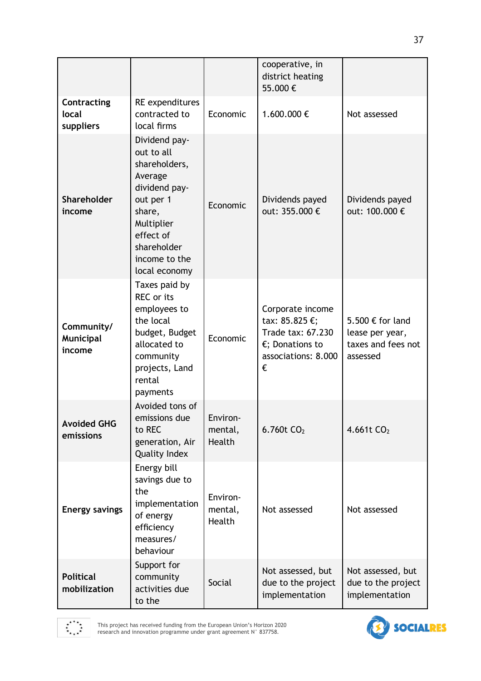|                                   |                                                                                                                                                                             |                               | cooperative, in<br>district heating<br>55.000€                                                                   |                                                                       |
|-----------------------------------|-----------------------------------------------------------------------------------------------------------------------------------------------------------------------------|-------------------------------|------------------------------------------------------------------------------------------------------------------|-----------------------------------------------------------------------|
| Contracting<br>local<br>suppliers | RE expenditures<br>contracted to<br>local firms                                                                                                                             | Economic                      | 1.600.000€                                                                                                       | Not assessed                                                          |
| <b>Shareholder</b><br>income      | Dividend pay-<br>out to all<br>shareholders,<br>Average<br>dividend pay-<br>out per 1<br>share,<br>Multiplier<br>effect of<br>shareholder<br>income to the<br>local economy | Economic                      | Dividends payed<br>out: 355.000 €                                                                                | Dividends payed<br>out: 100.000 €                                     |
| Community/<br>Municipal<br>income | Taxes paid by<br>REC or its<br>employees to<br>the local<br>budget, Budget<br>allocated to<br>community<br>projects, Land<br>rental<br>payments                             | Economic                      | Corporate income<br>tax: 85.825 €;<br>Trade tax: 67.230<br>$\epsilon$ ; Donations to<br>associations: 8.000<br>€ | 5.500 € for land<br>lease per year,<br>taxes and fees not<br>assessed |
| <b>Avoided GHG</b><br>emissions   | Avoided tons of<br>emissions due<br>to REC<br>generation, Air<br><b>Quality Index</b>                                                                                       | Environ-<br>mental,<br>Health | 6.760 $t$ CO <sub>2</sub>                                                                                        | 4.661t $CO2$                                                          |
| <b>Energy savings</b>             | Energy bill<br>savings due to<br>the<br>implementation<br>of energy<br>efficiency<br>measures/<br>behaviour                                                                 | Environ-<br>mental,<br>Health | Not assessed                                                                                                     | Not assessed                                                          |
| <b>Political</b><br>mobilization  | Support for<br>community<br>activities due<br>to the                                                                                                                        | Social                        | Not assessed, but<br>due to the project<br>implementation                                                        | Not assessed, but<br>due to the project<br>implementation             |

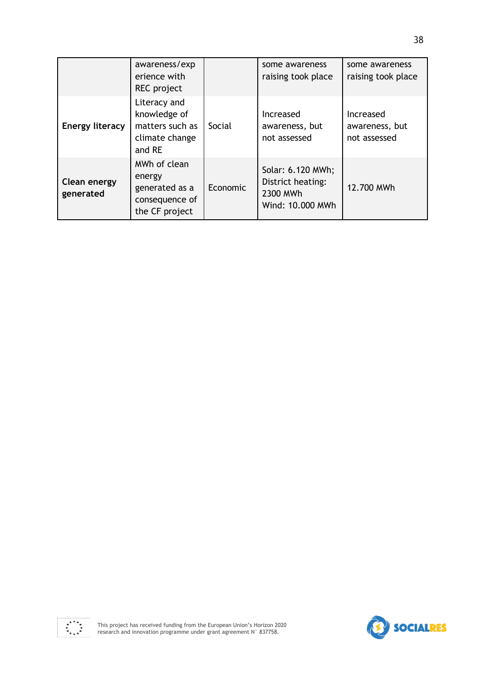|                                  | awareness/exp<br>erience with<br>REC project                                 |          | some awareness<br>raising took place                                   | some awareness<br>raising took place        |
|----------------------------------|------------------------------------------------------------------------------|----------|------------------------------------------------------------------------|---------------------------------------------|
| <b>Energy literacy</b>           | Literacy and<br>knowledge of<br>matters such as<br>climate change<br>and RE  | Social   | <b>Increased</b><br>awareness, but<br>not assessed                     | Increased<br>awareness, but<br>not assessed |
| <b>Clean energy</b><br>generated | MWh of clean<br>energy<br>generated as a<br>consequence of<br>the CF project | Economic | Solar: 6.120 MWh;<br>District heating:<br>2300 MWh<br>Wind: 10.000 MWh | 12.700 MWh                                  |

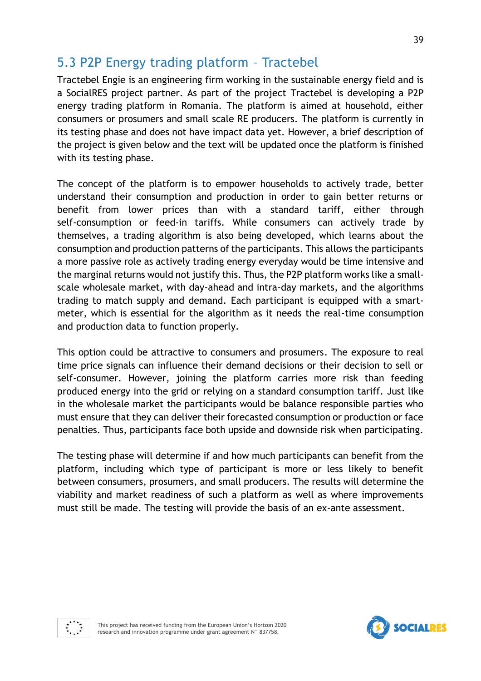# 5.3 P2P Energy trading platform – Tractebel

Tractebel Engie is an engineering firm working in the sustainable energy field and is a SocialRES project partner. As part of the project Tractebel is developing a P2P energy trading platform in Romania. The platform is aimed at household, either consumers or prosumers and small scale RE producers. The platform is currently in its testing phase and does not have impact data yet. However, a brief description of the project is given below and the text will be updated once the platform is finished with its testing phase.

The concept of the platform is to empower households to actively trade, better understand their consumption and production in order to gain better returns or benefit from lower prices than with a standard tariff, either through self-consumption or feed-in tariffs. While consumers can actively trade by themselves, a trading algorithm is also being developed, which learns about the consumption and production patterns of the participants. This allows the participants a more passive role as actively trading energy everyday would be time intensive and the marginal returns would not justify this. Thus, the P2P platform works like a smallscale wholesale market, with day-ahead and intra-day markets, and the algorithms trading to match supply and demand. Each participant is equipped with a smartmeter, which is essential for the algorithm as it needs the real-time consumption and production data to function properly.

This option could be attractive to consumers and prosumers. The exposure to real time price signals can influence their demand decisions or their decision to sell or self-consumer. However, joining the platform carries more risk than feeding produced energy into the grid or relying on a standard consumption tariff. Just like in the wholesale market the participants would be balance responsible parties who must ensure that they can deliver their forecasted consumption or production or face penalties. Thus, participants face both upside and downside risk when participating.

The testing phase will determine if and how much participants can benefit from the platform, including which type of participant is more or less likely to benefit between consumers, prosumers, and small producers. The results will determine the viability and market readiness of such a platform as well as where improvements must still be made. The testing will provide the basis of an ex-ante assessment.



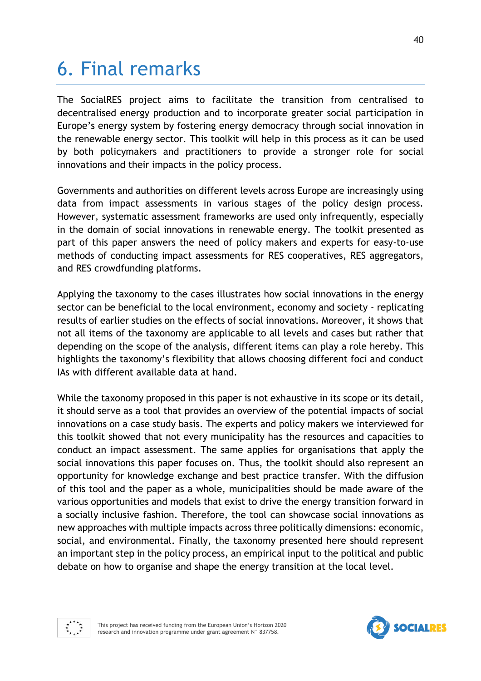# 6. Final remarks

The SocialRES project aims to facilitate the transition from centralised to decentralised energy production and to incorporate greater social participation in Europe's energy system by fostering energy democracy through social innovation in the renewable energy sector. This toolkit will help in this process as it can be used by both policymakers and practitioners to provide a stronger role for social innovations and their impacts in the policy process.

Governments and authorities on different levels across Europe are increasingly using data from impact assessments in various stages of the policy design process. However, systematic assessment frameworks are used only infrequently, especially in the domain of social innovations in renewable energy. The toolkit presented as part of this paper answers the need of policy makers and experts for easy-to-use methods of conducting impact assessments for RES cooperatives, RES aggregators, and RES crowdfunding platforms.

Applying the taxonomy to the cases illustrates how social innovations in the energy sector can be beneficial to the local environment, economy and society - replicating results of earlier studies on the effects of social innovations. Moreover, it shows that not all items of the taxonomy are applicable to all levels and cases but rather that depending on the scope of the analysis, different items can play a role hereby. This highlights the taxonomy's flexibility that allows choosing different foci and conduct IAs with different available data at hand.

While the taxonomy proposed in this paper is not exhaustive in its scope or its detail, it should serve as a tool that provides an overview of the potential impacts of social innovations on a case study basis. The experts and policy makers we interviewed for this toolkit showed that not every municipality has the resources and capacities to conduct an impact assessment. The same applies for organisations that apply the social innovations this paper focuses on. Thus, the toolkit should also represent an opportunity for knowledge exchange and best practice transfer. With the diffusion of this tool and the paper as a whole, municipalities should be made aware of the various opportunities and models that exist to drive the energy transition forward in a socially inclusive fashion. Therefore, the tool can showcase social innovations as new approaches with multiple impacts across three politically dimensions: economic, social, and environmental. Finally, the taxonomy presented here should represent an important step in the policy process, an empirical input to the political and public debate on how to organise and shape the energy transition at the local level.



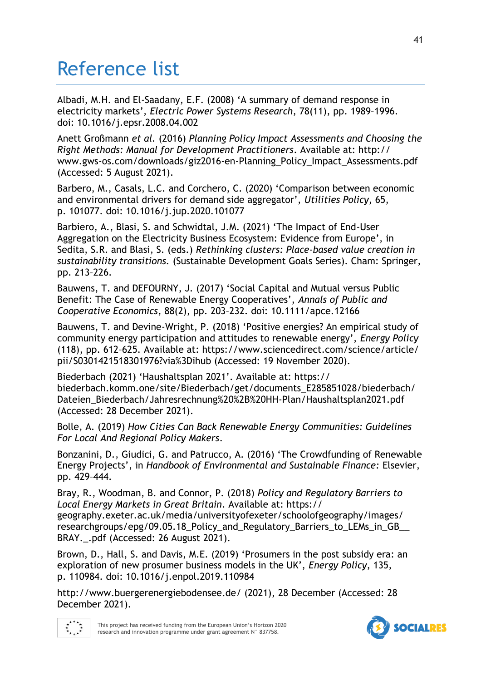# Reference list

Albadi, M.H. and El-Saadany, E.F. (2008) 'A summary of demand response in electricity markets', *Electric Power Systems Research*, 78(11), pp. 1989–1996. doi: 10.1016/j.epsr.2008.04.002

Anett Großmann *et al.* (2016) *Planning Policy Impact Assessments and Choosing the Right Methods: Manual for Development Practitioners*. Available at: http:// www.gws-os.com/downloads/giz2016-en-Planning\_Policy\_Impact\_Assessments.pdf (Accessed: 5 August 2021).

Barbero, M., Casals, L.C. and Corchero, C. (2020) 'Comparison between economic and environmental drivers for demand side aggregator', *Utilities Policy*, 65, p. 101077. doi: 10.1016/j.jup.2020.101077

Barbiero, A., Blasi, S. and Schwidtal, J.M. (2021) 'The Impact of End-User Aggregation on the Electricity Business Ecosystem: Evidence from Europe', in Sedita, S.R. and Blasi, S. (eds.) *Rethinking clusters: Place-based value creation in sustainability transitions.* (Sustainable Development Goals Series). Cham: Springer, pp. 213–226.

Bauwens, T. and DEFOURNY, J. (2017) 'Social Capital and Mutual versus Public Benefit: The Case of Renewable Energy Cooperatives', *Annals of Public and Cooperative Economics*, 88(2), pp. 203–232. doi: 10.1111/apce.12166

Bauwens, T. and Devine-Wright, P. (2018) 'Positive energies? An empirical study of community energy participation and attitudes to renewable energy', *Energy Policy*  (118), pp. 612–625. Available at: https://www.sciencedirect.com/science/article/ pii/S0301421518301976?via%3Dihub (Accessed: 19 November 2020).

Biederbach (2021) 'Haushaltsplan 2021'. Available at: https:// biederbach.komm.one/site/Biederbach/get/documents\_E285851028/biederbach/ Dateien\_Biederbach/Jahresrechnung%20%2B%20HH-Plan/Haushaltsplan2021.pdf (Accessed: 28 December 2021).

Bolle, A. (2019) *How Cities Can Back Renewable Energy Communities: Guidelines For Local And Regional Policy Makers*.

Bonzanini, D., Giudici, G. and Patrucco, A. (2016) 'The Crowdfunding of Renewable Energy Projects', in *Handbook of Environmental and Sustainable Finance:* Elsevier, pp. 429–444.

Bray, R., Woodman, B. and Connor, P. (2018) *Policy and Regulatory Barriers to Local Energy Markets in Great Britain*. Available at: https:// geography.exeter.ac.uk/media/universityofexeter/schoolofgeography/images/ researchgroups/epg/09.05.18\_Policy\_and\_Regulatory\_Barriers\_to\_LEMs\_in\_GB\_\_ BRAY...pdf (Accessed: 26 August 2021).

Brown, D., Hall, S. and Davis, M.E. (2019) 'Prosumers in the post subsidy era: an exploration of new prosumer business models in the UK', *Energy Policy*, 135, p. 110984. doi: 10.1016/j.enpol.2019.110984

http://www.buergerenergiebodensee.de/ (2021), 28 December (Accessed: 28 December 2021).



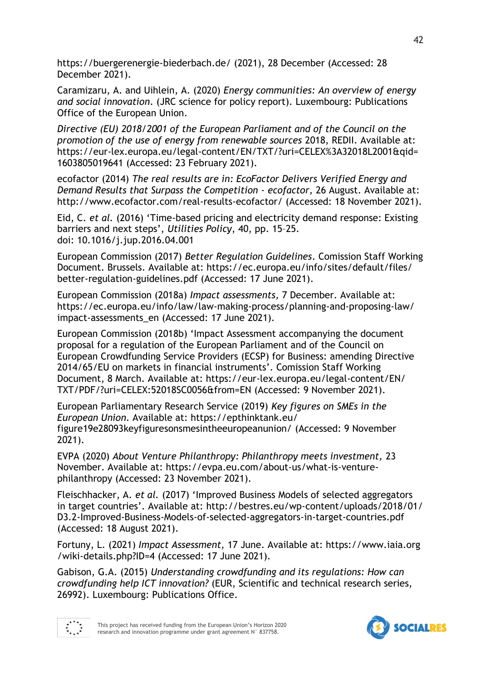https://buergerenergie-biederbach.de/ (2021), 28 December (Accessed: 28 December 2021).

Caramizaru, A. and Uihlein, A. (2020) *Energy communities: An overview of energy and social innovation*. (JRC science for policy report). Luxembourg: Publications Office of the European Union.

*Directive (EU) 2018/2001 of the European Parliament and of the Council on the promotion of the use of energy from renewable sources* 2018, REDII. Available at: https://eur-lex.europa.eu/legal-content/EN/TXT/?uri=CELEX%3A32018L2001&qid= 1603805019641 (Accessed: 23 February 2021).

ecofactor (2014) *The real results are in: EcoFactor Delivers Verified Energy and Demand Results that Surpass the Competition - ecofactor,* 26 August. Available at: http://www.ecofactor.com/real-results-ecofactor/ (Accessed: 18 November 2021).

Eid, C. *et al.* (2016) 'Time-based pricing and electricity demand response: Existing barriers and next steps', *Utilities Policy*, 40, pp. 15–25. doi: 10.1016/j.jup.2016.04.001

European Commission (2017) *Better Regulation Guidelines*. Comission Staff Working Document. Brussels. Available at: https://ec.europa.eu/info/sites/default/files/ better-regulation-guidelines.pdf (Accessed: 17 June 2021).

European Commission (2018a) *Impact assessments,* 7 December. Available at: https://ec.europa.eu/info/law/law-making-process/planning-and-proposing-law/ impact-assessments\_en (Accessed: 17 June 2021).

European Commission (2018b) 'Impact Assessment accompanying the document proposal for a regulation of the European Parliament and of the Council on European Crowdfunding Service Providers (ECSP) for Business: amending Directive 2014/65/EU on markets in financial instruments'. Comission Staff Working Document, 8 March. Available at: https://eur-lex.europa.eu/legal-content/EN/ TXT/PDF/?uri=CELEX:52018SC0056&from=EN (Accessed: 9 November 2021).

European Parliamentary Research Service (2019) *Key figures on SMEs in the European Union*. Available at: https://epthinktank.eu/ figure19e28093keyfiguresonsmesintheeuropeanunion/ (Accessed: 9 November 2021).

EVPA (2020) *About Venture Philanthropy: Philanthropy meets investment,* 23 November. Available at: https://evpa.eu.com/about-us/what-is-venturephilanthropy (Accessed: 23 November 2021).

Fleischhacker, A. *et al.* (2017) 'Improved Business Models of selected aggregators in target countries'. Available at: http://bestres.eu/wp-content/uploads/2018/01/ D3.2-Improved-Business-Models-of-selected-aggregators-in-target-countries.pdf (Accessed: 18 August 2021).

Fortuny, L. (2021) *Impact Assessment,* 17 June. Available at: https://www.iaia.org /wiki-details.php?ID=4 (Accessed: 17 June 2021).

Gabison, G.A. (2015) *Understanding crowdfunding and its regulations: How can crowdfunding help ICT innovation?* (EUR, Scientific and technical research series, 26992). Luxembourg: Publications Office.





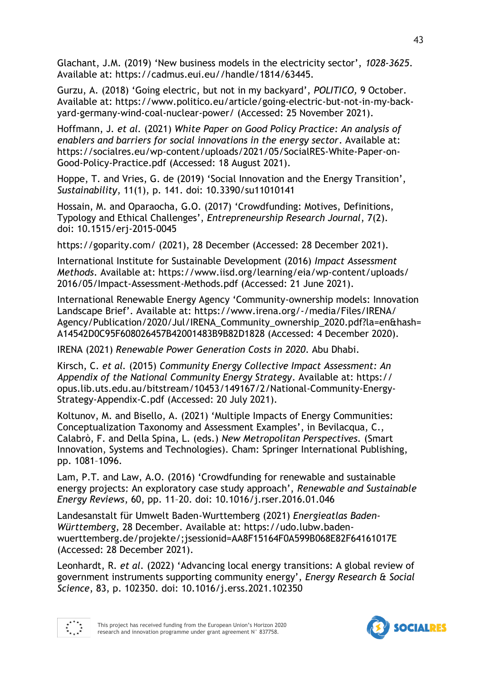Glachant, J.M. (2019) 'New business models in the electricity sector', *1028-3625*. Available at: https://cadmus.eui.eu//handle/1814/63445.

Gurzu, A. (2018) 'Going electric, but not in my backyard', *POLITICO,* 9 October. Available at: https://www.politico.eu/article/going-electric-but-not-in-my-backyard-germany-wind-coal-nuclear-power/ (Accessed: 25 November 2021).

Hoffmann, J. *et al.* (2021) *White Paper on Good Policy Practice: An analysis of enablers and barriers for social innovations in the energy sector*. Available at: https://socialres.eu/wp-content/uploads/2021/05/SocialRES-White-Paper-on-Good-Policy-Practice.pdf (Accessed: 18 August 2021).

Hoppe, T. and Vries, G. de (2019) 'Social Innovation and the Energy Transition', *Sustainability*, 11(1), p. 141. doi: 10.3390/su11010141

Hossain, M. and Oparaocha, G.O. (2017) 'Crowdfunding: Motives, Definitions, Typology and Ethical Challenges', *Entrepreneurship Research Journal*, 7(2). doi: 10.1515/erj-2015-0045

https://goparity.com/ (2021), 28 December (Accessed: 28 December 2021).

International Institute for Sustainable Development (2016) *Impact Assessment Methods*. Available at: https://www.iisd.org/learning/eia/wp-content/uploads/ 2016/05/Impact-Assessment-Methods.pdf (Accessed: 21 June 2021).

International Renewable Energy Agency 'Community-ownership models: Innovation Landscape Brief'. Available at: https://www.irena.org/-/media/Files/IRENA/ Agency/Publication/2020/Jul/IRENA\_Community\_ownership\_2020.pdf?la=en&hash= A14542D0C95F608026457B42001483B9B82D1828 (Accessed: 4 December 2020).

IRENA (2021) *Renewable Power Generation Costs in 2020*. Abu Dhabi.

Kirsch, C. *et al.* (2015) *Community Energy Collective Impact Assessment: An Appendix of the National Community Energy Strategy*. Available at: https:// opus.lib.uts.edu.au/bitstream/10453/149167/2/National-Community-Energy-Strategy-Appendix-C.pdf (Accessed: 20 July 2021).

Koltunov, M. and Bisello, A. (2021) 'Multiple Impacts of Energy Communities: Conceptualization Taxonomy and Assessment Examples', in Bevilacqua, C., Calabrò, F. and Della Spina, L. (eds.) *New Metropolitan Perspectives.* (Smart Innovation, Systems and Technologies). Cham: Springer International Publishing, pp. 1081–1096.

Lam, P.T. and Law, A.O. (2016) 'Crowdfunding for renewable and sustainable energy projects: An exploratory case study approach', *Renewable and Sustainable Energy Reviews*, 60, pp. 11–20. doi: 10.1016/j.rser.2016.01.046

Landesanstalt für Umwelt Baden-Wurttemberg (2021) *Energieatlas Baden-Württemberg,* 28 December. Available at: https://udo.lubw.badenwuerttemberg.de/projekte/;jsessionid=AA8F15164F0A599B068E82F64161017E (Accessed: 28 December 2021).

Leonhardt, R. *et al.* (2022) 'Advancing local energy transitions: A global review of government instruments supporting community energy', *Energy Research & Social Science*, 83, p. 102350. doi: 10.1016/j.erss.2021.102350



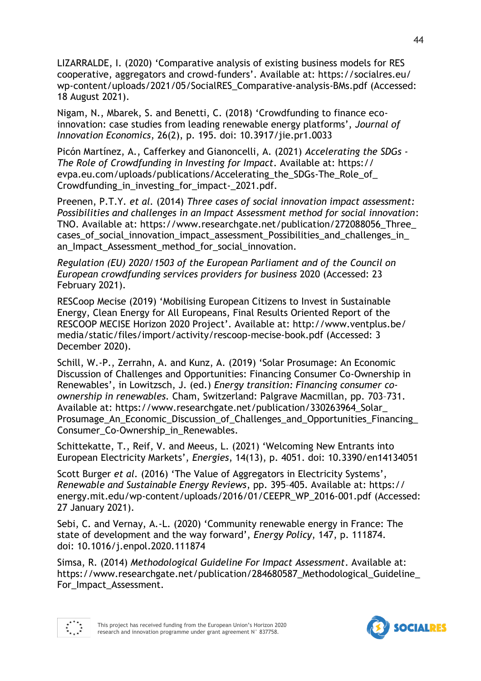LIZARRALDE, I. (2020) 'Comparative analysis of existing business models for RES cooperative, aggregators and crowd-funders'. Available at: https://socialres.eu/ wp-content/uploads/2021/05/SocialRES\_Comparative-analysis-BMs.pdf (Accessed: 18 August 2021).

Nigam, N., Mbarek, S. and Benetti, C. (2018) 'Crowdfunding to finance ecoinnovation: case studies from leading renewable energy platforms', *Journal of Innovation Economics*, 26(2), p. 195. doi: 10.3917/jie.pr1.0033

Picón Martínez, A., Cafferkey and Gianoncelli, A. (2021) *Accelerating the SDGs - The Role of Crowdfunding in Investing for Impact*. Available at: https:// evpa.eu.com/uploads/publications/Accelerating\_the\_SDGs-The\_Role\_of\_ Crowdfunding\_in\_investing\_for\_impact-\_2021.pdf.

Preenen, P.T.Y. *et al.* (2014) *Three cases of social innovation impact assessment: Possibilities and challenges in an Impact Assessment method for social innovation*: TNO. Available at: https://www.researchgate.net/publication/272088056\_Three\_ cases of social innovation impact\_assessment\_Possibilities\_and\_challenges\_in\_ an Impact Assessment method for social innovation.

*Regulation (EU) 2020/1503 of the European Parliament and of the Council on European crowdfunding services providers for business* 2020 (Accessed: 23 February 2021).

RESCoop Mecise (2019) 'Mobilising European Citizens to Invest in Sustainable Energy, Clean Energy for All Europeans, Final Results Oriented Report of the RESCOOP MECISE Horizon 2020 Project'. Available at: http://www.ventplus.be/ media/static/files/import/activity/rescoop-mecise-book.pdf (Accessed: 3 December 2020).

Schill, W.-P., Zerrahn, A. and Kunz, A. (2019) 'Solar Prosumage: An Economic Discussion of Challenges and Opportunities: Financing Consumer Co-Ownership in Renewables', in Lowitzsch, J. (ed.) *Energy transition: Financing consumer coownership in renewables.* Cham, Switzerland: Palgrave Macmillan, pp. 703–731. Available at: https://www.researchgate.net/publication/330263964\_Solar\_ Prosumage\_An\_Economic\_Discussion\_of\_Challenges\_and\_Opportunities\_Financing\_ Consumer Co-Ownership in Renewables.

Schittekatte, T., Reif, V. and Meeus, L. (2021) 'Welcoming New Entrants into European Electricity Markets', *Energies*, 14(13), p. 4051. doi: 10.3390/en14134051

Scott Burger *et al.* (2016) 'The Value of Aggregators in Electricity Systems', *Renewable and Sustainable Energy Reviews*, pp. 395–405. Available at: https:// energy.mit.edu/wp-content/uploads/2016/01/CEEPR\_WP\_2016-001.pdf (Accessed: 27 January 2021).

Sebi, C. and Vernay, A.-L. (2020) 'Community renewable energy in France: The state of development and the way forward', *Energy Policy*, 147, p. 111874. doi: 10.1016/j.enpol.2020.111874

Simsa, R. (2014) *Methodological Guideline For Impact Assessment*. Available at: https://www.researchgate.net/publication/284680587\_Methodological\_Guideline\_ For\_Impact\_Assessment.



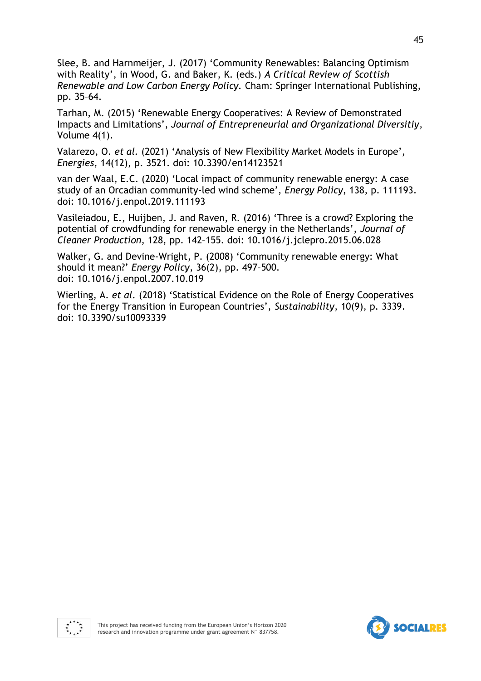Slee, B. and Harnmeijer, J. (2017) 'Community Renewables: Balancing Optimism with Reality', in Wood, G. and Baker, K. (eds.) *A Critical Review of Scottish Renewable and Low Carbon Energy Policy.* Cham: Springer International Publishing, pp. 35–64.

Tarhan, M. (2015) 'Renewable Energy Cooperatives: A Review of Demonstrated Impacts and Limitations', *Journal of Entrepreneurial and Organizational Diversitiy*, Volume 4(1).

Valarezo, O. *et al.* (2021) 'Analysis of New Flexibility Market Models in Europe', *Energies*, 14(12), p. 3521. doi: 10.3390/en14123521

van der Waal, E.C. (2020) 'Local impact of community renewable energy: A case study of an Orcadian community-led wind scheme', *Energy Policy*, 138, p. 111193. doi: 10.1016/j.enpol.2019.111193

Vasileiadou, E., Huijben, J. and Raven, R. (2016) 'Three is a crowd? Exploring the potential of crowdfunding for renewable energy in the Netherlands', *Journal of Cleaner Production*, 128, pp. 142–155. doi: 10.1016/j.jclepro.2015.06.028

Walker, G. and Devine-Wright, P. (2008) 'Community renewable energy: What should it mean?' *Energy Policy*, 36(2), pp. 497–500. doi: 10.1016/j.enpol.2007.10.019

Wierling, A. *et al.* (2018) 'Statistical Evidence on the Role of Energy Cooperatives for the Energy Transition in European Countries', *Sustainability*, 10(9), p. 3339. doi: 10.3390/su10093339





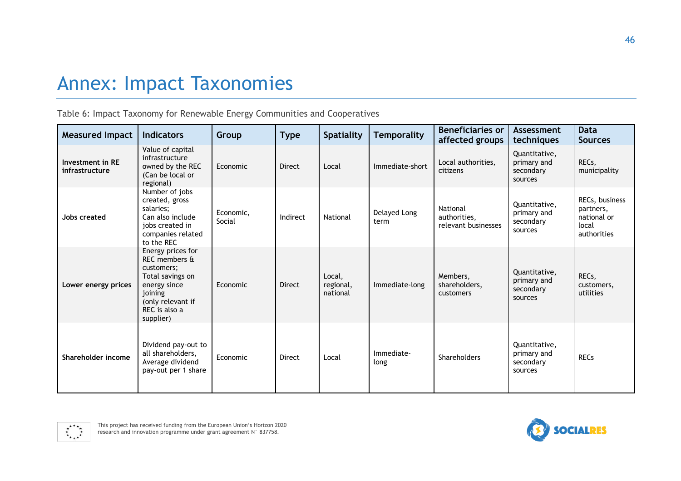# Annex: Impact Taxonomies

Table 6: Impact Taxonomy for Renewable Energy Communities and Cooperatives

| <b>Measured Impact</b>             | <b>Indicators</b>                                                                                                                                  | Group               | <b>Type</b>   | <b>Spatiality</b>               | <b>Temporality</b>   | <b>Beneficiaries or</b><br>affected groups      | Assessment<br>techniques                             | <b>Data</b><br><b>Sources</b>                                      |
|------------------------------------|----------------------------------------------------------------------------------------------------------------------------------------------------|---------------------|---------------|---------------------------------|----------------------|-------------------------------------------------|------------------------------------------------------|--------------------------------------------------------------------|
| Investment in RE<br>infrastructure | Value of capital<br>infrastructure<br>owned by the REC<br>(Can be local or<br>regional)                                                            | Economic            | <b>Direct</b> | Local                           | Immediate-short      | Local authorities,<br>citizens                  | Quantitative,<br>primary and<br>secondary<br>sources | RECs,<br>municipality                                              |
| Jobs created                       | Number of jobs<br>created, gross<br>salaries;<br>Can also include<br>jobs created in<br>companies related<br>to the REC                            | Economic,<br>Social | Indirect      | National                        | Delayed Long<br>term | National<br>authorities,<br>relevant businesses | Quantitative,<br>primary and<br>secondary<br>sources | RECs, business<br>partners,<br>national or<br>local<br>authorities |
| Lower energy prices                | Energy prices for<br>REC members &<br>customers;<br>Total savings on<br>energy since<br>joining<br>(only relevant if<br>REC is also a<br>supplier) | Economic            | <b>Direct</b> | Local,<br>regional,<br>national | Immediate-long       | Members,<br>shareholders,<br>customers          | Quantitative,<br>primary and<br>secondary<br>sources | RECs,<br>customers,<br>utilities                                   |
| Shareholder income                 | Dividend pay-out to<br>all shareholders,<br>Average dividend<br>pay-out per 1 share                                                                | Economic            | <b>Direct</b> | Local                           | Immediate-<br>long   | Shareholders                                    | Quantitative,<br>primary and<br>secondary<br>sources | <b>RECs</b>                                                        |

<span id="page-45-0"></span>

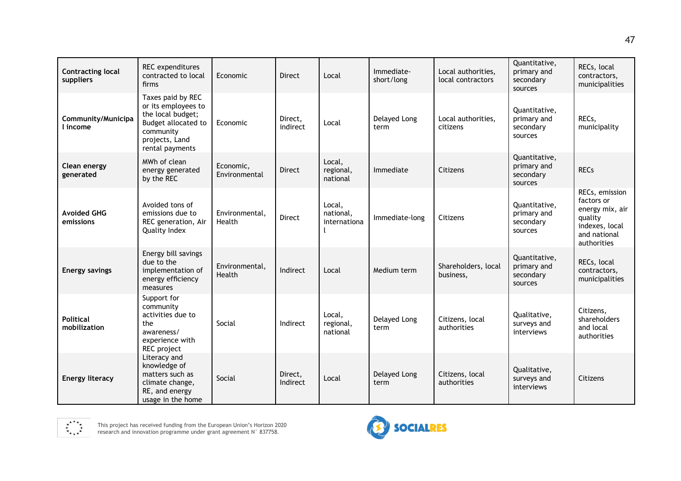| <b>Contracting local</b><br>suppliers | REC expenditures<br>contracted to local<br>firms                                                                                       | Economic                   | Direct              | Local                               | Immediate-<br>short/long | Local authorities,<br>local contractors | Quantitative,<br>primary and<br>secondary<br>sources | RECs, local<br>contractors,<br>municipalities                                                               |
|---------------------------------------|----------------------------------------------------------------------------------------------------------------------------------------|----------------------------|---------------------|-------------------------------------|--------------------------|-----------------------------------------|------------------------------------------------------|-------------------------------------------------------------------------------------------------------------|
| Community/Municipa<br>l income        | Taxes paid by REC<br>or its employees to<br>the local budget;<br>Budget allocated to<br>community<br>projects, Land<br>rental payments | Economic                   | Direct.<br>indirect | Local                               | Delayed Long<br>term     | Local authorities,<br>citizens          | Quantitative,<br>primary and<br>secondary<br>sources | RECs,<br>municipality                                                                                       |
| Clean energy<br>generated             | MWh of clean<br>energy generated<br>by the REC                                                                                         | Economic,<br>Environmental | <b>Direct</b>       | Local,<br>regional,<br>national     | Immediate                | Citizens                                | Quantitative,<br>primary and<br>secondary<br>sources | <b>RECs</b>                                                                                                 |
| <b>Avoided GHG</b><br>emissions       | Avoided tons of<br>emissions due to<br>REC generation, Air<br>Quality Index                                                            | Environmental,<br>Health   | <b>Direct</b>       | Local,<br>national,<br>internationa | Immediate-long           | Citizens                                | Quantitative,<br>primary and<br>secondary<br>sources | RECs, emission<br>factors or<br>energy mix, air<br>quality<br>indexes, local<br>and national<br>authorities |
| <b>Energy savings</b>                 | Energy bill savings<br>due to the<br>implementation of<br>energy efficiency<br>measures                                                | Environmental,<br>Health   | Indirect            | Local                               | Medium term              | Shareholders, local<br>business,        | Quantitative,<br>primary and<br>secondary<br>sources | RECs, local<br>contractors,<br>municipalities                                                               |
| <b>Political</b><br>mobilization      | Support for<br>community<br>activities due to<br>the<br>awareness/<br>experience with<br>REC project                                   | Social                     | Indirect            | Local,<br>regional,<br>national     | Delayed Long<br>term     | Citizens, local<br>authorities          | Qualitative,<br>surveys and<br>interviews            | Citizens,<br>shareholders<br>and local<br>authorities                                                       |
| <b>Energy literacy</b>                | Literacy and<br>knowledge of<br>matters such as<br>climate change,<br>RE, and energy<br>usage in the home                              | Social                     | Direct,<br>Indirect | Local                               | Delayed Long<br>term     | Citizens, local<br>authorities          | Qualitative,<br>surveys and<br>interviews            | Citizens                                                                                                    |



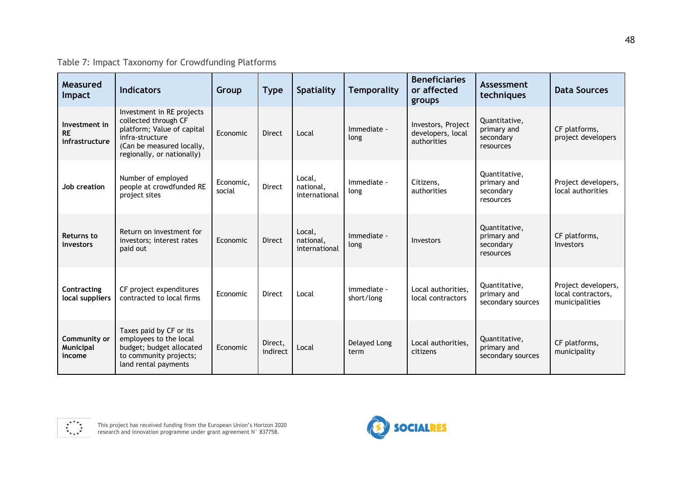Table 7: Impact Taxonomy for Crowdfunding Platforms

| Measured<br>Impact                           | <b>Indicators</b>                                                                                                                                             | Group               | <b>Type</b>         | <b>Spatiality</b>                    | <b>Temporality</b>        | <b>Beneficiaries</b><br>or affected<br>groups          | Assessment<br>techniques                               | <b>Data Sources</b>                                         |
|----------------------------------------------|---------------------------------------------------------------------------------------------------------------------------------------------------------------|---------------------|---------------------|--------------------------------------|---------------------------|--------------------------------------------------------|--------------------------------------------------------|-------------------------------------------------------------|
| Investment in<br><b>RE</b><br>infrastructure | Investment in RE projects<br>collected through CF<br>platform; Value of capital<br>infra-structure<br>(Can be measured locally,<br>regionally, or nationally) | Economic            | <b>Direct</b>       | Local                                | Immediate -<br>long       | Investors, Project<br>developers, local<br>authorities | Quantitative,<br>primary and<br>secondary<br>resources | CF platforms,<br>project developers                         |
| Job creation                                 | Number of employed<br>people at crowdfunded RE<br>project sites                                                                                               | Economic,<br>social | <b>Direct</b>       | Local,<br>national,<br>international | Immediate -<br>long       | Citizens.<br>authorities                               | Quantitative,<br>primary and<br>secondary<br>resources | Project developers,<br>local authorities                    |
| <b>Returns to</b><br>investors               | Return on investment for<br>investors; interest rates<br>paid out                                                                                             | Economic            | <b>Direct</b>       | Local,<br>national,<br>international | Immediate -<br>long       | Investors                                              | Quantitative,<br>primary and<br>secondary<br>resources | CF platforms,<br>Investors                                  |
| Contracting<br>local suppliers               | CF project expenditures<br>contracted to local firms                                                                                                          | Economic            | <b>Direct</b>       | Local                                | immediate -<br>short/long | Local authorities.<br>local contractors                | Quantitative,<br>primary and<br>secondary sources      | Project developers,<br>local contractors,<br>municipalities |
| Community or<br>Municipal<br>income          | Taxes paid by CF or its<br>employees to the local<br>budget; budget allocated<br>to community projects;<br>land rental payments                               | Economic            | Direct,<br>indirect | Local                                | Delayed Long<br>term      | Local authorities,<br>citizens                         | Quantitative,<br>primary and<br>secondary sources      | CF platforms,<br>municipality                               |

<span id="page-47-0"></span>

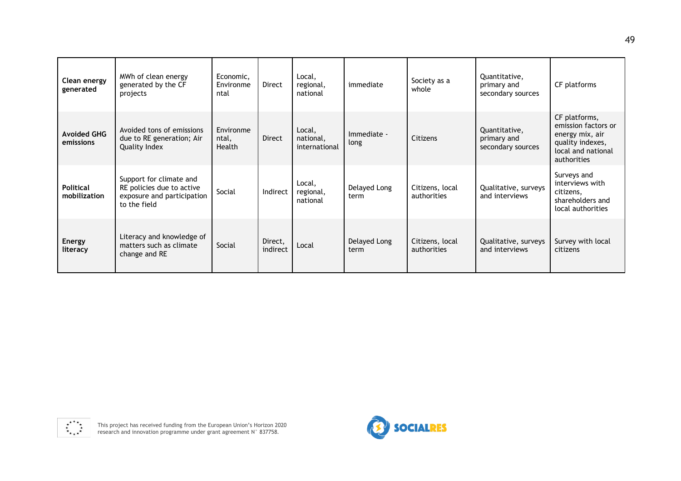| Clean energy<br>generated        | MWh of clean energy<br>generated by the CF<br>projects                                             | Economic,<br>Environme<br>ntal | <b>Direct</b>       | Local,<br>regional,<br>national      | immediate            | Society as a<br>whole          | Quantitative,<br>primary and<br>secondary sources | CF platforms                                                                                                     |
|----------------------------------|----------------------------------------------------------------------------------------------------|--------------------------------|---------------------|--------------------------------------|----------------------|--------------------------------|---------------------------------------------------|------------------------------------------------------------------------------------------------------------------|
| <b>Avoided GHG</b><br>emissions  | Avoided tons of emissions<br>due to RE generation; Air<br>Quality Index                            | Environme<br>ntal,<br>Health   | <b>Direct</b>       | Local,<br>national,<br>international | Immediate -<br>long  | Citizens                       | Quantitative,<br>primary and<br>secondary sources | CF platforms,<br>emission factors or<br>energy mix, air<br>quality indexes,<br>local and national<br>authorities |
| <b>Political</b><br>mobilization | Support for climate and<br>RE policies due to active<br>exposure and participation<br>to the field | Social                         | Indirect            | Local,<br>regional,<br>national      | Delayed Long<br>term | Citizens, local<br>authorities | Qualitative, surveys<br>and interviews            | Surveys and<br>interviews with<br>citizens,<br>shareholders and<br>local authorities                             |
| <b>Energy</b><br>literacy        | Literacy and knowledge of<br>matters such as climate<br>change and RE                              | Social                         | Direct,<br>indirect | Local                                | Delayed Long<br>term | Citizens, local<br>authorities | Qualitative, surveys<br>and interviews            | Survey with local<br>citizens                                                                                    |



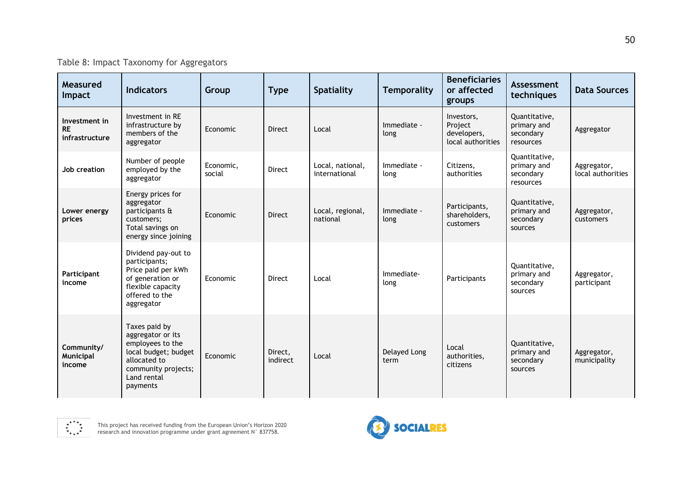Table 8: Impact Taxonomy for Aggregators

| Measured<br>Impact                           | <b>Indicators</b>                                                                                                                                | Group               | <b>Type</b>         | <b>Spatiality</b>                 | <b>Temporality</b>   | <b>Beneficiaries</b><br>or affected<br>groups             | Assessment<br>techniques                               | <b>Data Sources</b>              |
|----------------------------------------------|--------------------------------------------------------------------------------------------------------------------------------------------------|---------------------|---------------------|-----------------------------------|----------------------|-----------------------------------------------------------|--------------------------------------------------------|----------------------------------|
| Investment in<br><b>RE</b><br>infrastructure | Investment in RE<br>infrastructure by<br>members of the<br>aggregator                                                                            | Economic            | <b>Direct</b>       | Local                             | Immediate -<br>long  | Investors,<br>Project<br>developers,<br>local authorities | Quantitative,<br>primary and<br>secondary<br>resources | Aggregator                       |
| Job creation                                 | Number of people<br>employed by the<br>aggregator                                                                                                | Economic,<br>social | <b>Direct</b>       | Local, national,<br>international | Immediate -<br>long  | Citizens,<br>authorities                                  | Quantitative,<br>primary and<br>secondary<br>resources | Aggregator,<br>local authorities |
| Lower energy<br>prices                       | Energy prices for<br>aggregator<br>participants &<br>customers;<br>Total savings on<br>energy since joining                                      | Economic            | <b>Direct</b>       | Local, regional,<br>national      | Immediate -<br>long  | Participants,<br>shareholders,<br>customers               | Quantitative,<br>primary and<br>secondary<br>sources   | Aggregator,<br>customers         |
| Participant<br>income                        | Dividend pay-out to<br>participants;<br>Price paid per kWh<br>of generation or<br>flexible capacity<br>offered to the<br>aggregator              | Economic            | <b>Direct</b>       | Local                             | Immediate-<br>long   | Participants                                              | Quantitative,<br>primary and<br>secondary<br>sources   | Aggregator,<br>participant       |
| Community/<br>Municipal<br>income            | Taxes paid by<br>aggregator or its<br>employees to the<br>local budget; budget<br>allocated to<br>community projects;<br>Land rental<br>payments | Economic            | Direct,<br>indirect | Local                             | Delayed Long<br>term | Local<br>authorities,<br>citizens                         | Quantitative,<br>primary and<br>secondary<br>sources   | Aggregator,<br>municipality      |

<span id="page-49-0"></span>